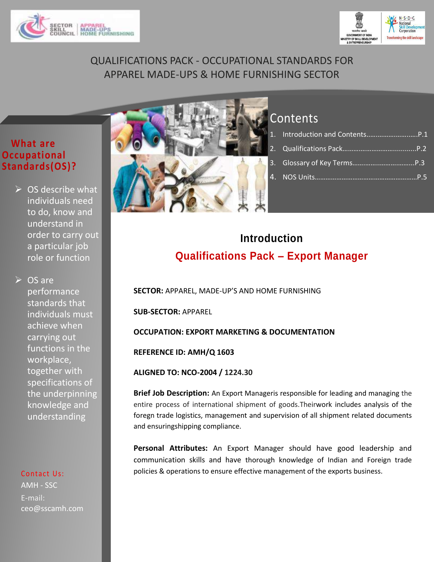



# QUALIFICATIONS PACK - OCCUPATIONAL STANDARDS FOR APPAREL MADE-UPS & HOME FURNISHING SECTOR

### **What are Occupational Standards(OS)?**

 $\triangleright$  OS describe what individuals need to do, know and understand in order to carry out a particular job role or function

**▷ OS are** performance standards that individuals must achieve when carrying out functions in the workplace, together with specifications of the underpinning knowledge and understanding

### Contact Us:

AMH - SSC E-mail: ceo@sscamh.com



# **Contents**

1. Introduction and Contents..[….……….……..….](#page-0-0)P.1 2. Qualifications Pack……….………………............P.2 3. [Glossary of Key Terms…….……..……….……...](#page-2-0)P.3 4. NOS Units…………………………………………………P.5

# **Qualifications Pack – Export Manager Introduction**

<span id="page-0-0"></span>**SECTOR:** APPAREL, MADE-UP'S AND HOME FURNISHING

**SUB-SECTOR:** APPAREL

**INCLARGE ATTES ATTES ATTESSES ARE ATTESSED ATTAINSMENT ATTENDANTS** 

**REFERENCE ID: AMH/Q 1603**

**ALIGNED TO: NCO-2004 / 1224.30**

**Brief Job Description:** An Export Manageris responsible for leading and managing the entire process of international shipment of goods.Theirwork includes analysis of the foregn trade logistics, management and supervision of all shipment related documents and ensuringshipping compliance.

**Personal Attributes:** An Export Manager should have good leadership and communication skills and have thorough knowledge of Indian and Foreign trade policies & operations to ensure effective management of the exports business.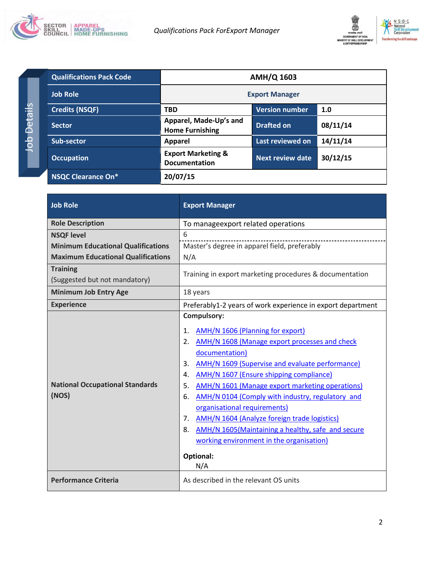



| <b>Qualifications Pack Code</b> | <b>AMH/Q 1603</b>                                     |                         |          |
|---------------------------------|-------------------------------------------------------|-------------------------|----------|
| <b>Job Role</b>                 | <b>Export Manager</b>                                 |                         |          |
| <b>Credits (NSQF)</b>           | <b>TBD</b>                                            | <b>Version number</b>   | 1.0      |
| <b>Sector</b>                   | Apparel, Made-Up's and<br><b>Home Furnishing</b>      | <b>Drafted on</b>       | 08/11/14 |
| Sub-sector                      | <b>Apparel</b>                                        | Last reviewed on        | 14/11/14 |
| <b>Occupation</b>               | <b>Export Marketing &amp;</b><br><b>Documentation</b> | <b>Next review date</b> | 30/12/15 |
| NSQC Clearance On*              | 20/07/15                                              |                         |          |

| <b>Job Role</b>                                  | <b>Export Manager</b>                                                                                                                                                                                                                                                                                                                                                                                                                                                                                                                                                                                     |
|--------------------------------------------------|-----------------------------------------------------------------------------------------------------------------------------------------------------------------------------------------------------------------------------------------------------------------------------------------------------------------------------------------------------------------------------------------------------------------------------------------------------------------------------------------------------------------------------------------------------------------------------------------------------------|
| <b>Role Description</b>                          | To manageexport related operations                                                                                                                                                                                                                                                                                                                                                                                                                                                                                                                                                                        |
| <b>NSQF level</b>                                | 6                                                                                                                                                                                                                                                                                                                                                                                                                                                                                                                                                                                                         |
| <b>Minimum Educational Qualifications</b>        | Master's degree in apparel field, preferably                                                                                                                                                                                                                                                                                                                                                                                                                                                                                                                                                              |
| <b>Maximum Educational Qualifications</b>        | N/A                                                                                                                                                                                                                                                                                                                                                                                                                                                                                                                                                                                                       |
| <b>Training</b><br>(Suggested but not mandatory) | Training in export marketing procedures & documentation                                                                                                                                                                                                                                                                                                                                                                                                                                                                                                                                                   |
| <b>Minimum Job Entry Age</b>                     | 18 years                                                                                                                                                                                                                                                                                                                                                                                                                                                                                                                                                                                                  |
| <b>Experience</b>                                | Preferably1-2 years of work experience in export department                                                                                                                                                                                                                                                                                                                                                                                                                                                                                                                                               |
| <b>National Occupational Standards</b><br>(NOS)  | <b>Compulsory:</b><br><b>AMH/N 1606 (Planning for export)</b><br>1.<br>2.<br>AMH/N 1608 (Manage export processes and check<br>documentation)<br>AMH/N 1609 (Supervise and evaluate performance)<br>3.<br>AMH/N 1607 (Ensure shipping compliance)<br>4.<br>5.<br><b>AMH/N 1601 (Manage export marketing operations)</b><br>AMH/N 0104 (Comply with industry, regulatory and<br>6.<br>organisational requirements)<br>AMH/N 1604 (Analyze foreign trade logistics)<br>7.<br>8.<br>AMH/N 1605 (Maintaining a healthy, safe and secure<br>working environment in the organisation)<br><b>Optional:</b><br>N/A |
| <b>Performance Criteria</b>                      | As described in the relevant OS units                                                                                                                                                                                                                                                                                                                                                                                                                                                                                                                                                                     |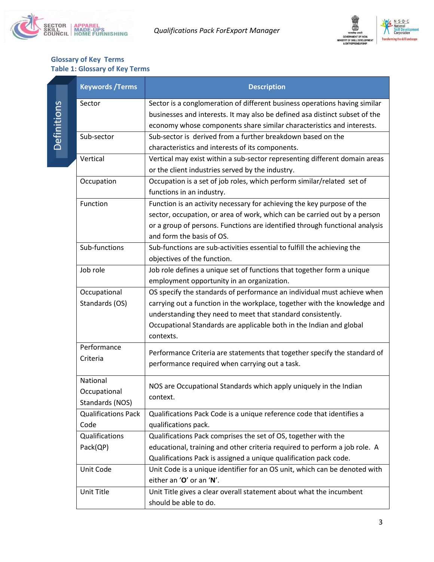



### **Glossary of Key Terms Table 1: Glossary of Key Terms**

<span id="page-2-0"></span>

|             | <b>Keywords / Terms</b>    | <b>Description</b>                                                          |
|-------------|----------------------------|-----------------------------------------------------------------------------|
|             | Sector                     | Sector is a conglomeration of different business operations having similar  |
| Definitions |                            | businesses and interests. It may also be defined asa distinct subset of the |
|             |                            | economy whose components share similar characteristics and interests.       |
|             | Sub-sector                 | Sub-sector is derived from a further breakdown based on the                 |
|             |                            | characteristics and interests of its components.                            |
|             | Vertical                   | Vertical may exist within a sub-sector representing different domain areas  |
|             |                            | or the client industries served by the industry.                            |
|             | Occupation                 | Occupation is a set of job roles, which perform similar/related set of      |
|             |                            | functions in an industry.                                                   |
|             | Function                   | Function is an activity necessary for achieving the key purpose of the      |
|             |                            | sector, occupation, or area of work, which can be carried out by a person   |
|             |                            | or a group of persons. Functions are identified through functional analysis |
|             |                            | and form the basis of OS.                                                   |
|             | Sub-functions              | Sub-functions are sub-activities essential to fulfill the achieving the     |
|             |                            | objectives of the function.                                                 |
|             | Job role                   | Job role defines a unique set of functions that together form a unique      |
|             |                            | employment opportunity in an organization.                                  |
|             | Occupational               | OS specify the standards of performance an individual must achieve when     |
|             | Standards (OS)             | carrying out a function in the workplace, together with the knowledge and   |
|             |                            | understanding they need to meet that standard consistently.                 |
|             |                            | Occupational Standards are applicable both in the Indian and global         |
|             |                            | contexts.                                                                   |
|             | Performance                | Performance Criteria are statements that together specify the standard of   |
|             | Criteria                   | performance required when carrying out a task.                              |
|             |                            |                                                                             |
|             | National                   | NOS are Occupational Standards which apply uniquely in the Indian           |
|             | Occupational               | context.                                                                    |
|             | Standards (NOS)            |                                                                             |
|             | <b>Qualifications Pack</b> | Qualifications Pack Code is a unique reference code that identifies a       |
|             | Code                       | qualifications pack.                                                        |
|             | Qualifications             | Qualifications Pack comprises the set of OS, together with the              |
|             | Pack(QP)                   | educational, training and other criteria required to perform a job role. A  |
|             |                            | Qualifications Pack is assigned a unique qualification pack code.           |
|             | Unit Code                  | Unit Code is a unique identifier for an OS unit, which can be denoted with  |
|             |                            | either an 'O' or an 'N'.                                                    |
|             | Unit Title                 | Unit Title gives a clear overall statement about what the incumbent         |
|             |                            | should be able to do.                                                       |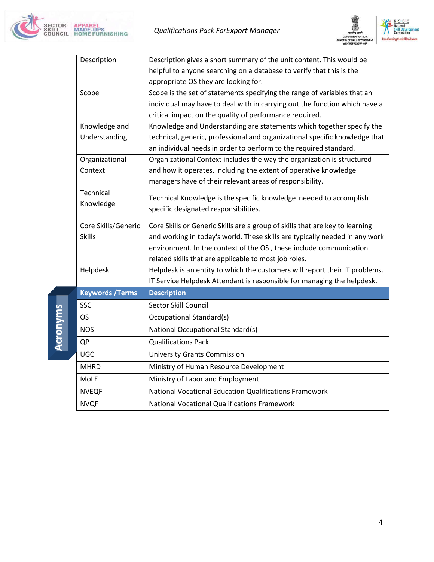



| Description             | Description gives a short summary of the unit content. This would be         |
|-------------------------|------------------------------------------------------------------------------|
|                         | helpful to anyone searching on a database to verify that this is the         |
|                         | appropriate OS they are looking for.                                         |
| Scope                   | Scope is the set of statements specifying the range of variables that an     |
|                         | individual may have to deal with in carrying out the function which have a   |
|                         | critical impact on the quality of performance required.                      |
| Knowledge and           | Knowledge and Understanding are statements which together specify the        |
| Understanding           | technical, generic, professional and organizational specific knowledge that  |
|                         | an individual needs in order to perform to the required standard.            |
| Organizational          | Organizational Context includes the way the organization is structured       |
| Context                 | and how it operates, including the extent of operative knowledge             |
|                         | managers have of their relevant areas of responsibility.                     |
| Technical               | Technical Knowledge is the specific knowledge needed to accomplish           |
| Knowledge               | specific designated responsibilities.                                        |
|                         |                                                                              |
| Core Skills/Generic     | Core Skills or Generic Skills are a group of skills that are key to learning |
| <b>Skills</b>           | and working in today's world. These skills are typically needed in any work  |
|                         | environment. In the context of the OS, these include communication           |
|                         | related skills that are applicable to most job roles.                        |
| Helpdesk                | Helpdesk is an entity to which the customers will report their IT problems.  |
|                         | IT Service Helpdesk Attendant is responsible for managing the helpdesk.      |
| <b>Keywords / Terms</b> | <b>Description</b>                                                           |
| <b>SSC</b>              | Sector Skill Council                                                         |
| <b>OS</b>               | <b>Occupational Standard(s)</b>                                              |
| <b>NOS</b>              | National Occupational Standard(s)                                            |
| QP                      | <b>Qualifications Pack</b>                                                   |
| <b>UGC</b>              | <b>University Grants Commission</b>                                          |
| <b>MHRD</b>             | Ministry of Human Resource Development                                       |
| MoLE                    | Ministry of Labor and Employment                                             |
| <b>NVEQF</b>            | National Vocational Education Qualifications Framework                       |
| <b>NVQF</b>             | <b>National Vocational Qualifications Framework</b>                          |

Acronyms **Acronyms**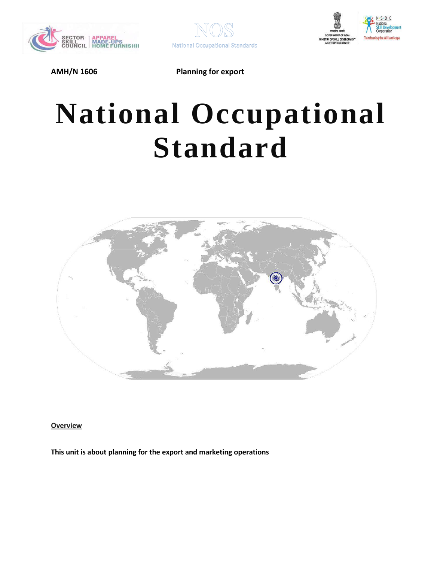





# **National Occupational Standard**



<span id="page-4-0"></span>**Overview** 

**This unit is about planning for the export and marketing operations**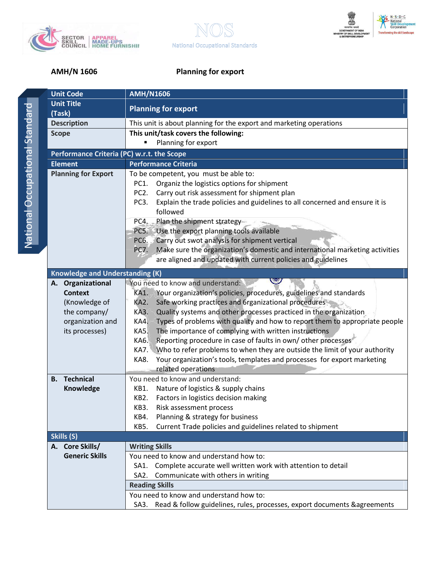





| ¢ |
|---|
|   |
|   |
| ĺ |
|   |
|   |
|   |
|   |
|   |
| ì |
|   |
| ı |
|   |
|   |
|   |
|   |
|   |
|   |
| ì |
|   |
|   |
|   |
|   |
| I |
|   |
|   |
|   |
|   |
|   |
|   |
|   |
|   |
|   |
|   |

| <b>Unit Code</b>                           | <b>AMH/N1606</b>                                                                           |  |  |
|--------------------------------------------|--------------------------------------------------------------------------------------------|--|--|
| <b>Unit Title</b>                          | <b>Planning for export</b>                                                                 |  |  |
| (Task)                                     |                                                                                            |  |  |
| <b>Description</b>                         | This unit is about planning for the export and marketing operations                        |  |  |
| <b>Scope</b>                               | This unit/task covers the following:                                                       |  |  |
|                                            | Planning for export                                                                        |  |  |
| Performance Criteria (PC) w.r.t. the Scope |                                                                                            |  |  |
| <b>Element</b>                             | <b>Performance Criteria</b>                                                                |  |  |
| <b>Planning for Export</b>                 | To be competent, you must be able to:                                                      |  |  |
|                                            | Organiz the logistics options for shipment<br>PC1.                                         |  |  |
|                                            | Carry out risk assessment for shipment plan<br>PC <sub>2</sub> .                           |  |  |
|                                            | Explain the trade policies and guidelines to all concerned and ensure it is<br>PC3.        |  |  |
|                                            | followed                                                                                   |  |  |
|                                            | Plan the shipment strategy-<br>PC4.                                                        |  |  |
|                                            | PC5. Use the export planning tools available                                               |  |  |
|                                            | Carry out swot analysis for shipment vertical<br>PC6.                                      |  |  |
|                                            | Make sure the organization's domestic and international marketing activities<br>PC7.       |  |  |
|                                            | are aligned and updated with current policies and guidelines                               |  |  |
| <b>Knowledge and Understanding (K)</b>     |                                                                                            |  |  |
| A. Organizational                          | You need to know and understand:                                                           |  |  |
| <b>Context</b>                             | Your organization's policies, procedures, guidelines and standards<br><b>KA1.</b>          |  |  |
| (Knowledge of                              | Safe working practices and 6rganizational procedures<br>KA2.                               |  |  |
| the company/                               | Quality systems and other processes practiced in the organization<br><b>KA3.</b>           |  |  |
| organization and                           | Types of problems with quality and how to report them to appropriate people<br><b>KA4.</b> |  |  |
| its processes)                             | The importance of complying with written instructions<br><b>KA5.</b>                       |  |  |
|                                            | Reporting procedure in case of faults in own/other processes<br>KA6.                       |  |  |
|                                            | Who to refer problems to when they are outside the limit of your authority<br><b>KA7.</b>  |  |  |
|                                            | Your organization's tools, templates and processes for export marketing<br>KA8.            |  |  |
|                                            | related operations                                                                         |  |  |
| <b>Technical</b><br>В.                     | You need to know and understand:                                                           |  |  |
| <b>Knowledge</b>                           | Nature of logistics & supply chains<br>KB1.                                                |  |  |
|                                            | Factors in logistics decision making<br>KB2.                                               |  |  |
|                                            | KB3.<br>Risk assessment process                                                            |  |  |
|                                            | Planning & strategy for business<br>KB4.                                                   |  |  |
|                                            | Current Trade policies and guidelines related to shipment<br>KB5.                          |  |  |
| Skills (S)                                 |                                                                                            |  |  |
| A. Core Skills/                            | <b>Writing Skills</b>                                                                      |  |  |
| <b>Generic Skills</b>                      | You need to know and understand how to:                                                    |  |  |
|                                            | SA1. Complete accurate well written work with attention to detail                          |  |  |
|                                            | Communicate with others in writing<br>SA <sub>2</sub> .                                    |  |  |
|                                            | <b>Reading Skills</b>                                                                      |  |  |
|                                            | You need to know and understand how to:                                                    |  |  |
|                                            | Read & follow guidelines, rules, processes, export documents & agreements<br>SA3.          |  |  |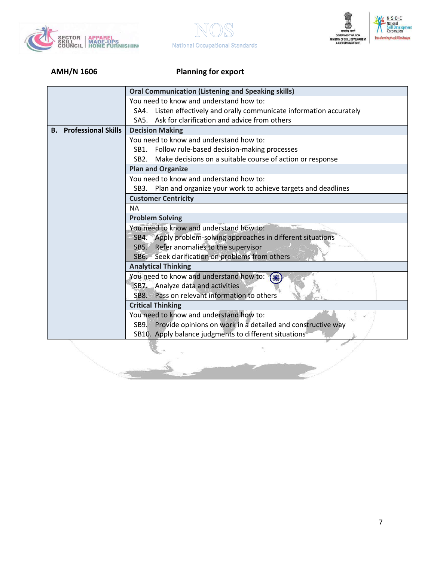





|                               | <b>Oral Communication (Listening and Speaking skills)</b>                    |  |  |
|-------------------------------|------------------------------------------------------------------------------|--|--|
|                               | You need to know and understand how to:                                      |  |  |
|                               | SA4. Listen effectively and orally communicate information accurately        |  |  |
|                               | Ask for clarification and advice from others<br>SA5.                         |  |  |
| <b>B.</b> Professional Skills | <b>Decision Making</b>                                                       |  |  |
|                               | You need to know and understand how to:                                      |  |  |
|                               | SB1. Follow rule-based decision-making processes                             |  |  |
|                               | Make decisions on a suitable course of action or response<br>SB <sub>2</sub> |  |  |
|                               | <b>Plan and Organize</b>                                                     |  |  |
|                               | You need to know and understand how to:                                      |  |  |
|                               | Plan and organize your work to achieve targets and deadlines<br>SB3.         |  |  |
|                               | <b>Customer Centricity</b>                                                   |  |  |
|                               | <b>NA</b>                                                                    |  |  |
|                               | <b>Problem Solving</b>                                                       |  |  |
|                               | You need to know and understand how to:                                      |  |  |
|                               | SB4. Apply problem-solving approaches in different situations                |  |  |
|                               | SB5. Refer anomalies to the supervisor                                       |  |  |
|                               | SB6. Seek clarification on problems from others                              |  |  |
|                               | <b>Analytical Thinking</b>                                                   |  |  |
|                               | You need to know and understand how to:                                      |  |  |
|                               | SB7. Analyze data and activities                                             |  |  |
|                               | Pass on relevant information to others<br>SB <sub>8</sub>                    |  |  |
|                               | <b>Critical Thinking</b>                                                     |  |  |
|                               | You need to know and understand how to:                                      |  |  |
|                               | SB9. Provide opinions on work in a detailed and constructive way             |  |  |
|                               | SB10. Apply balance judgments to different situations                        |  |  |
|                               |                                                                              |  |  |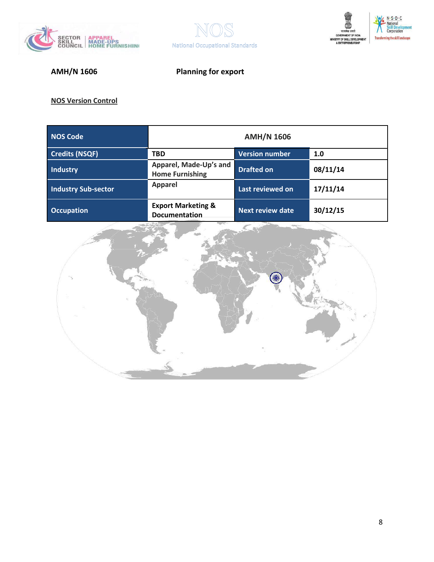





| <b>NOS Code</b>            | <b>AMH/N 1606</b>                                |                         |          |
|----------------------------|--------------------------------------------------|-------------------------|----------|
| <b>Credits (NSQF)</b>      | <b>TBD</b>                                       | <b>Version number</b>   | 1.0      |
| <b>Industry</b>            | Apparel, Made-Up's and<br><b>Home Furnishing</b> | <b>Drafted on</b>       | 08/11/14 |
| <b>Industry Sub-sector</b> | <b>Apparel</b>                                   | Last reviewed on        | 17/11/14 |
| <b>Occupation</b>          | <b>Export Marketing &amp;</b><br>Documentation   | <b>Next review date</b> | 30/12/15 |

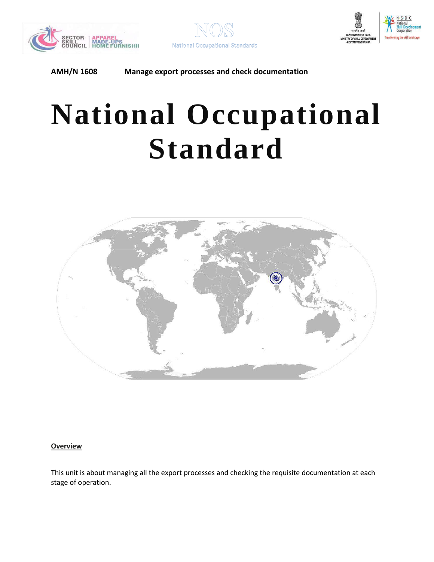





# **National Occupational Standard**



### <span id="page-8-0"></span>**Overview**

This unit is about managing all the export processes and checking the requisite documentation at each stage of operation.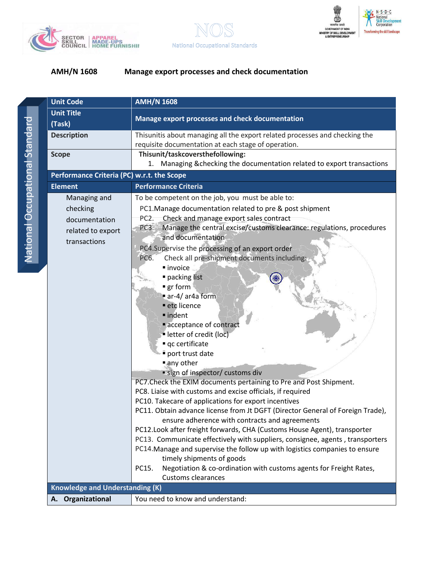





|   | ï<br>i<br>j                                                                                                    |
|---|----------------------------------------------------------------------------------------------------------------|
| Ò | and the state of the state of the state of the state of the state of the state of the state of the state of th |
|   | ĺ<br>l                                                                                                         |
|   | I                                                                                                              |
| l | I<br>۱                                                                                                         |
|   | Ì<br>ï<br>I                                                                                                    |
| l |                                                                                                                |

| <b>Unit Code</b>                                                               | <b>AMH/N 1608</b>                                                                                                                                                                                                                                                                                                                                                                                                                                                                                                                                                                                                                                                                                                                                                                                                                                                                                                                                                                                                                                                                                                                                                                                                                                                                                                    |
|--------------------------------------------------------------------------------|----------------------------------------------------------------------------------------------------------------------------------------------------------------------------------------------------------------------------------------------------------------------------------------------------------------------------------------------------------------------------------------------------------------------------------------------------------------------------------------------------------------------------------------------------------------------------------------------------------------------------------------------------------------------------------------------------------------------------------------------------------------------------------------------------------------------------------------------------------------------------------------------------------------------------------------------------------------------------------------------------------------------------------------------------------------------------------------------------------------------------------------------------------------------------------------------------------------------------------------------------------------------------------------------------------------------|
| <b>Unit Title</b><br>(Task)                                                    | Manage export processes and check documentation                                                                                                                                                                                                                                                                                                                                                                                                                                                                                                                                                                                                                                                                                                                                                                                                                                                                                                                                                                                                                                                                                                                                                                                                                                                                      |
| <b>Description</b>                                                             | Thisunitis about managing all the export related processes and checking the<br>requisite documentation at each stage of operation.                                                                                                                                                                                                                                                                                                                                                                                                                                                                                                                                                                                                                                                                                                                                                                                                                                                                                                                                                                                                                                                                                                                                                                                   |
| <b>Scope</b>                                                                   | Thisunit/taskcoversthefollowing:<br>Managing & checking the documentation related to export transactions<br>1.                                                                                                                                                                                                                                                                                                                                                                                                                                                                                                                                                                                                                                                                                                                                                                                                                                                                                                                                                                                                                                                                                                                                                                                                       |
| Performance Criteria (PC) w.r.t. the Scope                                     |                                                                                                                                                                                                                                                                                                                                                                                                                                                                                                                                                                                                                                                                                                                                                                                                                                                                                                                                                                                                                                                                                                                                                                                                                                                                                                                      |
| <b>Element</b>                                                                 | <b>Performance Criteria</b>                                                                                                                                                                                                                                                                                                                                                                                                                                                                                                                                                                                                                                                                                                                                                                                                                                                                                                                                                                                                                                                                                                                                                                                                                                                                                          |
| Managing and<br>checking<br>documentation<br>related to export<br>transactions | To be competent on the job, you must be able to:<br>PC1. Manage documentation related to pre & post shipment<br>Check and manage export sales contract<br>PC <sub>2</sub> .<br>Manage the central excise/customs clearance: regulations, procedures<br>PC3.<br>and documentation<br>PC4.Supervise the processing of an export order<br>Check all pre-shipment documents including:<br>PC6.<br>■ invoice<br>packing list<br>■ gr form<br>ar-4/ar4a form<br>etc licence<br>■ indent<br>acceptance of contract<br>letter of credit (loc)<br>qc certificate<br>port trust date<br>any other<br>· sign of inspector/ customs div<br>PC7. Check the EXIM documents pertaining to Pre and Post Shipment.<br>PC8. Liaise with customs and excise officials, if required<br>PC10. Takecare of applications for export incentives<br>PC11. Obtain advance license from Jt DGFT (Director General of Foreign Trade),<br>ensure adherence with contracts and agreements<br>PC12. Look after freight forwards, CHA (Customs House Agent), transporter<br>PC13. Communicate effectively with suppliers, consignee, agents, transporters<br>PC14. Manage and supervise the follow up with logistics companies to ensure<br>timely shipments of goods<br>Negotiation & co-ordination with customs agents for Freight Rates,<br>PC15. |
|                                                                                | Customs clearances                                                                                                                                                                                                                                                                                                                                                                                                                                                                                                                                                                                                                                                                                                                                                                                                                                                                                                                                                                                                                                                                                                                                                                                                                                                                                                   |
| <b>Knowledge and Understanding (K)</b>                                         |                                                                                                                                                                                                                                                                                                                                                                                                                                                                                                                                                                                                                                                                                                                                                                                                                                                                                                                                                                                                                                                                                                                                                                                                                                                                                                                      |
| A. Organizational                                                              | You need to know and understand:                                                                                                                                                                                                                                                                                                                                                                                                                                                                                                                                                                                                                                                                                                                                                                                                                                                                                                                                                                                                                                                                                                                                                                                                                                                                                     |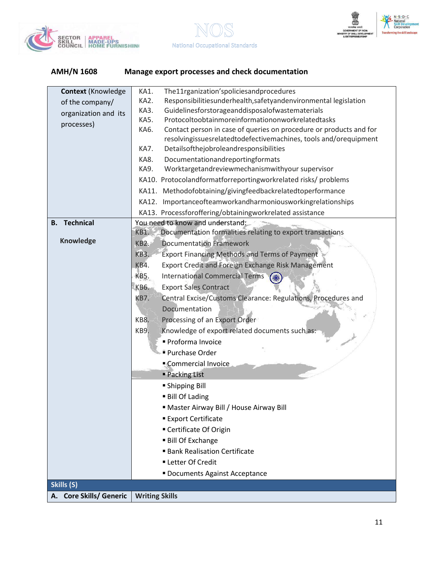





| Responsibilitiesunderhealth, safetyandenvironmental legislation<br>KA2.<br>of the company/<br>Guidelinesforstorageanddisposalofwastematerials<br>KA3.<br>organization and its<br>Protocoltoobtainmoreinformationonworkrelatedtasks<br>KA5.<br>processes)<br>Contact person in case of queries on procedure or products and for<br>KA6.<br>resolvingissuesrelatedtodefectivemachines, tools and/orequipment<br>Detailsofthejobroleandresponsibilities<br>KA7.<br>Documentationandreportingformats<br>KA8.<br>Worktargetandreviewmechanismwithyour supervisor<br>KA9.<br>KA10. Protocolandformatforreportingworkrelated risks/ problems<br>KA11. Methodofobtaining/givingfeedbackrelatedtoperformance<br>KA12. Importanceofteamworkandharmoniousworkingrelationships<br>KA13. Processforoffering/obtainingworkrelated assistance<br><b>B.</b> Technical<br>You need to know and understand:<br>Documentation formalities relating to export transactions<br>KB1.<br><b>Knowledge</b><br><b>Documentation Framework</b><br><b>KB2.</b><br><b>KB3.</b><br><b>Export Financing Methods and Terms of Payment</b><br>KB4.<br>Export Credit and Foreign Exchange Risk Management<br><b>KB5.</b><br><b>International Commercial Terms</b><br><b>Export Sales Contract</b><br>KB6.<br>Central Excise/Customs Clearance: Regulations, Procedures and<br>KB7.<br>Documentation<br>KB8.<br>Processing of an Export Order<br>Knowledge of export related documents such as:<br>KB9.<br>Proforma Invoice<br><b>Purchase Order</b><br>Commercial Invoice<br><b>Packing List</b><br>• Shipping Bill<br><b>Bill Of Lading</b><br>" Master Airway Bill / House Airway Bill<br><b>Export Certificate</b><br>■ Certificate Of Origin<br><b>Bill Of Exchange</b><br><b>Bank Realisation Certificate</b><br><b>- Letter Of Credit</b><br>Documents Against Acceptance<br>Skills (S) | <b>Context (Knowledge</b> | The11rganization'spoliciesandprocedures<br>KA1. |
|--------------------------------------------------------------------------------------------------------------------------------------------------------------------------------------------------------------------------------------------------------------------------------------------------------------------------------------------------------------------------------------------------------------------------------------------------------------------------------------------------------------------------------------------------------------------------------------------------------------------------------------------------------------------------------------------------------------------------------------------------------------------------------------------------------------------------------------------------------------------------------------------------------------------------------------------------------------------------------------------------------------------------------------------------------------------------------------------------------------------------------------------------------------------------------------------------------------------------------------------------------------------------------------------------------------------------------------------------------------------------------------------------------------------------------------------------------------------------------------------------------------------------------------------------------------------------------------------------------------------------------------------------------------------------------------------------------------------------------------------------------------------------------------------------------------------------------------------------------------|---------------------------|-------------------------------------------------|
|                                                                                                                                                                                                                                                                                                                                                                                                                                                                                                                                                                                                                                                                                                                                                                                                                                                                                                                                                                                                                                                                                                                                                                                                                                                                                                                                                                                                                                                                                                                                                                                                                                                                                                                                                                                                                                                              |                           |                                                 |
|                                                                                                                                                                                                                                                                                                                                                                                                                                                                                                                                                                                                                                                                                                                                                                                                                                                                                                                                                                                                                                                                                                                                                                                                                                                                                                                                                                                                                                                                                                                                                                                                                                                                                                                                                                                                                                                              |                           |                                                 |
|                                                                                                                                                                                                                                                                                                                                                                                                                                                                                                                                                                                                                                                                                                                                                                                                                                                                                                                                                                                                                                                                                                                                                                                                                                                                                                                                                                                                                                                                                                                                                                                                                                                                                                                                                                                                                                                              |                           |                                                 |
|                                                                                                                                                                                                                                                                                                                                                                                                                                                                                                                                                                                                                                                                                                                                                                                                                                                                                                                                                                                                                                                                                                                                                                                                                                                                                                                                                                                                                                                                                                                                                                                                                                                                                                                                                                                                                                                              |                           |                                                 |
|                                                                                                                                                                                                                                                                                                                                                                                                                                                                                                                                                                                                                                                                                                                                                                                                                                                                                                                                                                                                                                                                                                                                                                                                                                                                                                                                                                                                                                                                                                                                                                                                                                                                                                                                                                                                                                                              |                           |                                                 |
|                                                                                                                                                                                                                                                                                                                                                                                                                                                                                                                                                                                                                                                                                                                                                                                                                                                                                                                                                                                                                                                                                                                                                                                                                                                                                                                                                                                                                                                                                                                                                                                                                                                                                                                                                                                                                                                              |                           |                                                 |
|                                                                                                                                                                                                                                                                                                                                                                                                                                                                                                                                                                                                                                                                                                                                                                                                                                                                                                                                                                                                                                                                                                                                                                                                                                                                                                                                                                                                                                                                                                                                                                                                                                                                                                                                                                                                                                                              |                           |                                                 |
|                                                                                                                                                                                                                                                                                                                                                                                                                                                                                                                                                                                                                                                                                                                                                                                                                                                                                                                                                                                                                                                                                                                                                                                                                                                                                                                                                                                                                                                                                                                                                                                                                                                                                                                                                                                                                                                              |                           |                                                 |
|                                                                                                                                                                                                                                                                                                                                                                                                                                                                                                                                                                                                                                                                                                                                                                                                                                                                                                                                                                                                                                                                                                                                                                                                                                                                                                                                                                                                                                                                                                                                                                                                                                                                                                                                                                                                                                                              |                           |                                                 |
|                                                                                                                                                                                                                                                                                                                                                                                                                                                                                                                                                                                                                                                                                                                                                                                                                                                                                                                                                                                                                                                                                                                                                                                                                                                                                                                                                                                                                                                                                                                                                                                                                                                                                                                                                                                                                                                              |                           |                                                 |
|                                                                                                                                                                                                                                                                                                                                                                                                                                                                                                                                                                                                                                                                                                                                                                                                                                                                                                                                                                                                                                                                                                                                                                                                                                                                                                                                                                                                                                                                                                                                                                                                                                                                                                                                                                                                                                                              |                           |                                                 |
|                                                                                                                                                                                                                                                                                                                                                                                                                                                                                                                                                                                                                                                                                                                                                                                                                                                                                                                                                                                                                                                                                                                                                                                                                                                                                                                                                                                                                                                                                                                                                                                                                                                                                                                                                                                                                                                              |                           |                                                 |
|                                                                                                                                                                                                                                                                                                                                                                                                                                                                                                                                                                                                                                                                                                                                                                                                                                                                                                                                                                                                                                                                                                                                                                                                                                                                                                                                                                                                                                                                                                                                                                                                                                                                                                                                                                                                                                                              |                           |                                                 |
|                                                                                                                                                                                                                                                                                                                                                                                                                                                                                                                                                                                                                                                                                                                                                                                                                                                                                                                                                                                                                                                                                                                                                                                                                                                                                                                                                                                                                                                                                                                                                                                                                                                                                                                                                                                                                                                              |                           |                                                 |
|                                                                                                                                                                                                                                                                                                                                                                                                                                                                                                                                                                                                                                                                                                                                                                                                                                                                                                                                                                                                                                                                                                                                                                                                                                                                                                                                                                                                                                                                                                                                                                                                                                                                                                                                                                                                                                                              |                           |                                                 |
|                                                                                                                                                                                                                                                                                                                                                                                                                                                                                                                                                                                                                                                                                                                                                                                                                                                                                                                                                                                                                                                                                                                                                                                                                                                                                                                                                                                                                                                                                                                                                                                                                                                                                                                                                                                                                                                              |                           |                                                 |
|                                                                                                                                                                                                                                                                                                                                                                                                                                                                                                                                                                                                                                                                                                                                                                                                                                                                                                                                                                                                                                                                                                                                                                                                                                                                                                                                                                                                                                                                                                                                                                                                                                                                                                                                                                                                                                                              |                           |                                                 |
|                                                                                                                                                                                                                                                                                                                                                                                                                                                                                                                                                                                                                                                                                                                                                                                                                                                                                                                                                                                                                                                                                                                                                                                                                                                                                                                                                                                                                                                                                                                                                                                                                                                                                                                                                                                                                                                              |                           |                                                 |
|                                                                                                                                                                                                                                                                                                                                                                                                                                                                                                                                                                                                                                                                                                                                                                                                                                                                                                                                                                                                                                                                                                                                                                                                                                                                                                                                                                                                                                                                                                                                                                                                                                                                                                                                                                                                                                                              |                           |                                                 |
|                                                                                                                                                                                                                                                                                                                                                                                                                                                                                                                                                                                                                                                                                                                                                                                                                                                                                                                                                                                                                                                                                                                                                                                                                                                                                                                                                                                                                                                                                                                                                                                                                                                                                                                                                                                                                                                              |                           |                                                 |
|                                                                                                                                                                                                                                                                                                                                                                                                                                                                                                                                                                                                                                                                                                                                                                                                                                                                                                                                                                                                                                                                                                                                                                                                                                                                                                                                                                                                                                                                                                                                                                                                                                                                                                                                                                                                                                                              |                           |                                                 |
|                                                                                                                                                                                                                                                                                                                                                                                                                                                                                                                                                                                                                                                                                                                                                                                                                                                                                                                                                                                                                                                                                                                                                                                                                                                                                                                                                                                                                                                                                                                                                                                                                                                                                                                                                                                                                                                              |                           |                                                 |
|                                                                                                                                                                                                                                                                                                                                                                                                                                                                                                                                                                                                                                                                                                                                                                                                                                                                                                                                                                                                                                                                                                                                                                                                                                                                                                                                                                                                                                                                                                                                                                                                                                                                                                                                                                                                                                                              |                           |                                                 |
|                                                                                                                                                                                                                                                                                                                                                                                                                                                                                                                                                                                                                                                                                                                                                                                                                                                                                                                                                                                                                                                                                                                                                                                                                                                                                                                                                                                                                                                                                                                                                                                                                                                                                                                                                                                                                                                              |                           |                                                 |
|                                                                                                                                                                                                                                                                                                                                                                                                                                                                                                                                                                                                                                                                                                                                                                                                                                                                                                                                                                                                                                                                                                                                                                                                                                                                                                                                                                                                                                                                                                                                                                                                                                                                                                                                                                                                                                                              |                           |                                                 |
|                                                                                                                                                                                                                                                                                                                                                                                                                                                                                                                                                                                                                                                                                                                                                                                                                                                                                                                                                                                                                                                                                                                                                                                                                                                                                                                                                                                                                                                                                                                                                                                                                                                                                                                                                                                                                                                              |                           |                                                 |
|                                                                                                                                                                                                                                                                                                                                                                                                                                                                                                                                                                                                                                                                                                                                                                                                                                                                                                                                                                                                                                                                                                                                                                                                                                                                                                                                                                                                                                                                                                                                                                                                                                                                                                                                                                                                                                                              |                           |                                                 |
|                                                                                                                                                                                                                                                                                                                                                                                                                                                                                                                                                                                                                                                                                                                                                                                                                                                                                                                                                                                                                                                                                                                                                                                                                                                                                                                                                                                                                                                                                                                                                                                                                                                                                                                                                                                                                                                              |                           |                                                 |
|                                                                                                                                                                                                                                                                                                                                                                                                                                                                                                                                                                                                                                                                                                                                                                                                                                                                                                                                                                                                                                                                                                                                                                                                                                                                                                                                                                                                                                                                                                                                                                                                                                                                                                                                                                                                                                                              |                           |                                                 |
|                                                                                                                                                                                                                                                                                                                                                                                                                                                                                                                                                                                                                                                                                                                                                                                                                                                                                                                                                                                                                                                                                                                                                                                                                                                                                                                                                                                                                                                                                                                                                                                                                                                                                                                                                                                                                                                              |                           |                                                 |
|                                                                                                                                                                                                                                                                                                                                                                                                                                                                                                                                                                                                                                                                                                                                                                                                                                                                                                                                                                                                                                                                                                                                                                                                                                                                                                                                                                                                                                                                                                                                                                                                                                                                                                                                                                                                                                                              |                           |                                                 |
|                                                                                                                                                                                                                                                                                                                                                                                                                                                                                                                                                                                                                                                                                                                                                                                                                                                                                                                                                                                                                                                                                                                                                                                                                                                                                                                                                                                                                                                                                                                                                                                                                                                                                                                                                                                                                                                              |                           |                                                 |
|                                                                                                                                                                                                                                                                                                                                                                                                                                                                                                                                                                                                                                                                                                                                                                                                                                                                                                                                                                                                                                                                                                                                                                                                                                                                                                                                                                                                                                                                                                                                                                                                                                                                                                                                                                                                                                                              |                           |                                                 |
|                                                                                                                                                                                                                                                                                                                                                                                                                                                                                                                                                                                                                                                                                                                                                                                                                                                                                                                                                                                                                                                                                                                                                                                                                                                                                                                                                                                                                                                                                                                                                                                                                                                                                                                                                                                                                                                              |                           |                                                 |
|                                                                                                                                                                                                                                                                                                                                                                                                                                                                                                                                                                                                                                                                                                                                                                                                                                                                                                                                                                                                                                                                                                                                                                                                                                                                                                                                                                                                                                                                                                                                                                                                                                                                                                                                                                                                                                                              |                           |                                                 |
|                                                                                                                                                                                                                                                                                                                                                                                                                                                                                                                                                                                                                                                                                                                                                                                                                                                                                                                                                                                                                                                                                                                                                                                                                                                                                                                                                                                                                                                                                                                                                                                                                                                                                                                                                                                                                                                              |                           |                                                 |
|                                                                                                                                                                                                                                                                                                                                                                                                                                                                                                                                                                                                                                                                                                                                                                                                                                                                                                                                                                                                                                                                                                                                                                                                                                                                                                                                                                                                                                                                                                                                                                                                                                                                                                                                                                                                                                                              |                           |                                                 |
|                                                                                                                                                                                                                                                                                                                                                                                                                                                                                                                                                                                                                                                                                                                                                                                                                                                                                                                                                                                                                                                                                                                                                                                                                                                                                                                                                                                                                                                                                                                                                                                                                                                                                                                                                                                                                                                              | A. Core Skills/ Generic   | <b>Writing Skills</b>                           |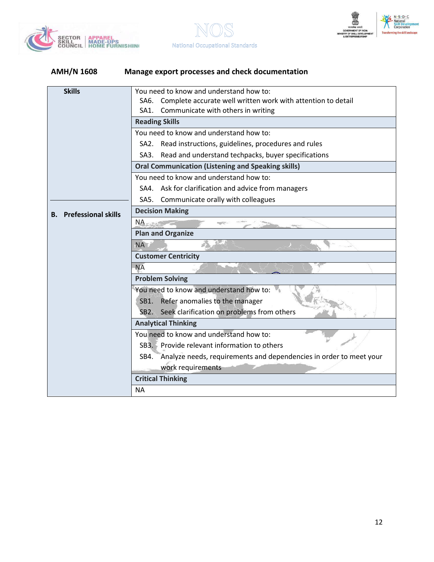





| <b>Skills</b>                    | You need to know and understand how to:                                    |  |  |
|----------------------------------|----------------------------------------------------------------------------|--|--|
|                                  | Complete accurate well written work with attention to detail<br>SA6.       |  |  |
|                                  | Communicate with others in writing<br>SA1.                                 |  |  |
|                                  | <b>Reading Skills</b>                                                      |  |  |
|                                  | You need to know and understand how to:                                    |  |  |
|                                  | Read instructions, guidelines, procedures and rules<br>SA2.                |  |  |
|                                  | SA3. Read and understand techpacks, buyer specifications                   |  |  |
|                                  | <b>Oral Communication (Listening and Speaking skills)</b>                  |  |  |
|                                  | You need to know and understand how to:                                    |  |  |
|                                  | SA4. Ask for clarification and advice from managers                        |  |  |
|                                  | SA5.<br>Communicate orally with colleagues                                 |  |  |
| <b>Prefessional skills</b><br>В. | <b>Decision Making</b>                                                     |  |  |
|                                  | $NA -$<br><b>CONTRACTOR</b>                                                |  |  |
|                                  | <b>Plan and Organize</b>                                                   |  |  |
|                                  | NA E                                                                       |  |  |
|                                  | <b>Customer Centricity</b>                                                 |  |  |
|                                  | <b>NA</b>                                                                  |  |  |
|                                  | <b>Problem Solving</b>                                                     |  |  |
|                                  | You need to know and understand how to:                                    |  |  |
|                                  | Refer anomalies to the manager<br>SB <sub>1</sub>                          |  |  |
|                                  | SB2. Seek clarification on problems from others                            |  |  |
|                                  | <b>Analytical Thinking</b>                                                 |  |  |
|                                  | You need to know and understand how to:                                    |  |  |
|                                  | SB3. Provide relevant information to others                                |  |  |
|                                  | Analyze needs, requirements and dependencies in order to meet your<br>SB4. |  |  |
|                                  | work requirements                                                          |  |  |
|                                  | <b>Critical Thinking</b>                                                   |  |  |
|                                  | <b>NA</b>                                                                  |  |  |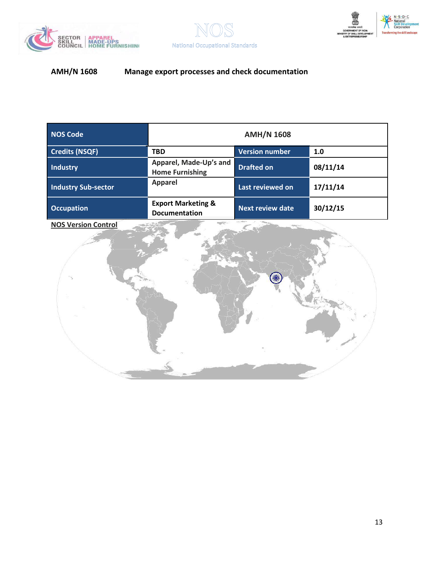





| <b>NOS Code</b>            | <b>AMH/N 1608</b>                                     |                         |          |
|----------------------------|-------------------------------------------------------|-------------------------|----------|
| <b>Credits (NSQF)</b>      | <b>TBD</b>                                            | Version number          | 1.0      |
| <b>Industry</b>            | Apparel, Made-Up's and<br><b>Home Furnishing</b>      | <b>Drafted on</b>       | 08/11/14 |
| <b>Industry Sub-sector</b> | <b>Apparel</b>                                        | Last reviewed on        | 17/11/14 |
| <b>Occupation</b>          | <b>Export Marketing &amp;</b><br><b>Documentation</b> | <b>Next review date</b> | 30/12/15 |

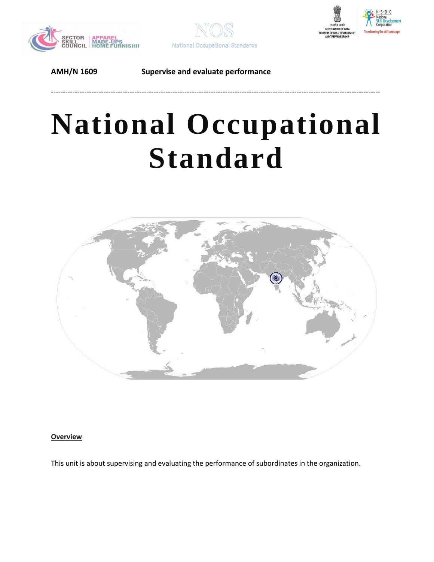





# **National Occupational Standard**

------------------------------------------------------------------------------------------------------------------------------------------



### <span id="page-13-0"></span>**Overview**

This unit is about supervising and evaluating the performance of subordinates in the organization.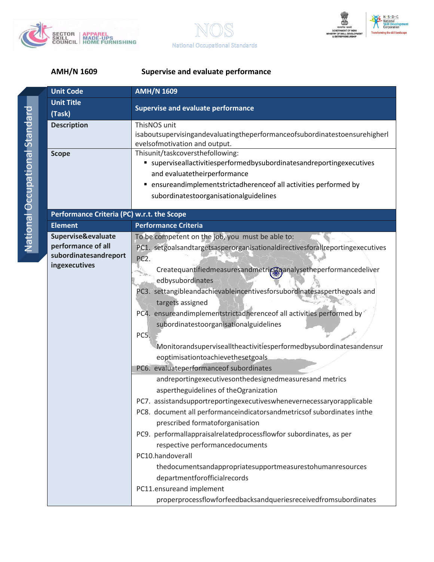





| <b>Unit Code</b>                                                                   | <b>AMH/N 1609</b>                                                                                                                                                                                                                                                                                                                                                                                                                                                                                                                                                                                                                                                                        |
|------------------------------------------------------------------------------------|------------------------------------------------------------------------------------------------------------------------------------------------------------------------------------------------------------------------------------------------------------------------------------------------------------------------------------------------------------------------------------------------------------------------------------------------------------------------------------------------------------------------------------------------------------------------------------------------------------------------------------------------------------------------------------------|
| <b>Unit Title</b>                                                                  | <b>Supervise and evaluate performance</b>                                                                                                                                                                                                                                                                                                                                                                                                                                                                                                                                                                                                                                                |
| (Task)                                                                             |                                                                                                                                                                                                                                                                                                                                                                                                                                                                                                                                                                                                                                                                                          |
| <b>Description</b>                                                                 | ThisNOS unit<br>isaboutsupervisingandevaluatingtheperformanceofsubordinatestoensurehigherl<br>evelsofmotivation and output.                                                                                                                                                                                                                                                                                                                                                                                                                                                                                                                                                              |
| <b>Scope</b>                                                                       | Thisunit/taskcoversthefollowing:<br>■ superviseallactivitiesperformedbysubordinatesandreportingexecutives<br>and evaluatetheirperformance<br>• ensureandimplementstrictadherenceof all activities performed by<br>subordinatestoorganisationalguidelines                                                                                                                                                                                                                                                                                                                                                                                                                                 |
| Performance Criteria (PC) w.r.t. the Scope                                         |                                                                                                                                                                                                                                                                                                                                                                                                                                                                                                                                                                                                                                                                                          |
| <b>Element</b>                                                                     | <b>Performance Criteria</b>                                                                                                                                                                                                                                                                                                                                                                                                                                                                                                                                                                                                                                                              |
| Supervise&evaluate<br>performance of all<br>subordinatesandreport<br>ingexecutives | To be competent on the job, you must be able to:<br>PC1. setgoalsandtargetsasperorganisationaldirectivesforallreportingexecutives<br>PC <sub>2</sub> .<br>Createquantifiedmeasuresandmetrics panalysetheperformancedeliver<br>edbysubordinates<br>PC3. settangibleandachievableincentivesforsubordinatesasperthegoals and<br>targets assigned<br>PC4. ensureandimplementstrictadherence of all activities performed by<br>subordinatestoorganisationalguidelines<br>PC5.<br>Monitorandsupervisealltheactivitiesperformedbysubordinatesandensur<br>eoptimisationtoachievethesetgoals<br>PC6. evaluateperformanceof subordinates<br>andreportingexecutivesonthedesignedmeasuresand metrics |
|                                                                                    | aspertheguidelines of theOgranization<br>PC7. assistandsupportreportingexecutiveswhenevernecessaryorapplicable<br>PC8. document all performanceindicatorsandmetricsof subordinates inthe<br>prescribed formatoforganisation<br>PC9. performallappraisalrelatedprocessflowfor subordinates, as per<br>respective performancedocuments<br>PC10.handoverall<br>thedocumentsandappropriatesupportmeasurestohumanresources<br>departmentforofficialrecords<br>PC11.ensureand implement<br>properprocessflowforfeedbacksandqueriesreceivedfromsubordinates                                                                                                                                     |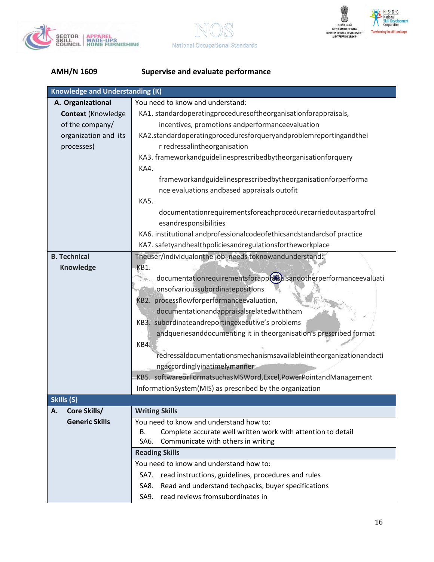





| <b>Knowledge and Understanding (K)</b> |                                                                       |  |  |
|----------------------------------------|-----------------------------------------------------------------------|--|--|
| A. Organizational                      | You need to know and understand:                                      |  |  |
| <b>Context (Knowledge</b>              | KA1. standardoperatingproceduresoftheorganisationforappraisals,       |  |  |
| of the company/                        | incentives, promotions andperformanceevaluation                       |  |  |
| organization and its                   | KA2.standardoperatingproceduresforqueryandproblemreportingandthei     |  |  |
| processes)                             | r redressalintheorganisation                                          |  |  |
|                                        | KA3. frameworkandguidelinesprescribedbytheorganisationforquery        |  |  |
|                                        | KA4.                                                                  |  |  |
|                                        | frameworkandguidelinesprescribedbytheorganisationforperforma          |  |  |
|                                        | nce evaluations andbased appraisals outofit                           |  |  |
|                                        | KA5.                                                                  |  |  |
|                                        | documentationrequirementsforeachprocedurecarriedoutaspartofrol        |  |  |
|                                        | esandresponsibilities                                                 |  |  |
|                                        | KA6. institutional andprofessionalcodeofethicsandstandardsof practice |  |  |
|                                        | KA7. safetyandhealthpoliciesandregulationsfortheworkplace             |  |  |
| <b>B. Technical</b>                    | Theuser/individualonthe job needs toknowandunderstand:                |  |  |
| Knowledge                              | KB1.                                                                  |  |  |
|                                        | documentationrequirementsforapptasalsandotherperformanceevaluati      |  |  |
|                                        | onsofvarioussubordinatepositions                                      |  |  |
|                                        | KB2. processflowforperformanceevaluation,                             |  |  |
|                                        | documentationandappraisalsrelatedwiththem                             |  |  |
|                                        | KB3. subordinateandreportingexecutive's problems                      |  |  |
|                                        | andqueriesanddocumenting it in theorganisation's prescribed format    |  |  |
|                                        | KB4.                                                                  |  |  |
|                                        | redressaldocumentationsmechanismsavailableintheorganizationandacti    |  |  |
|                                        | ngaccordinglyinatimelymanner                                          |  |  |
|                                        | KB5. softwareorFormatsuchasMSWord,Excel,PowerPointandManagement       |  |  |
|                                        | InformationSystem(MIS) as prescribed by the organization              |  |  |
| Skills (S)                             |                                                                       |  |  |
| Core Skills/<br>Α.                     | <b>Writing Skills</b>                                                 |  |  |
| <b>Generic Skills</b>                  | You need to know and understand how to:                               |  |  |
|                                        | Complete accurate well written work with attention to detail<br>В.    |  |  |
|                                        | Communicate with others in writing<br>SA6.                            |  |  |
|                                        | <b>Reading Skills</b>                                                 |  |  |
|                                        | You need to know and understand how to:                               |  |  |
|                                        | read instructions, guidelines, procedures and rules<br>SA7.           |  |  |
|                                        | Read and understand techpacks, buyer specifications<br>SA8.           |  |  |
|                                        | read reviews fromsubordinates in<br>SA9.                              |  |  |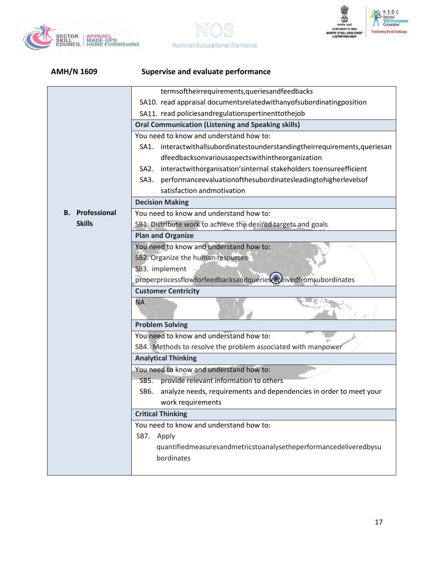



**National Occupational Standards** 

 $\mathbb{R}$ 

| <b>AMH/N 1609</b>      | <b>Supervise and evaluate performance</b>                                              |  |  |
|------------------------|----------------------------------------------------------------------------------------|--|--|
|                        | termsoftheirrequirements, queries and feedbacks                                        |  |  |
|                        | SA10. read appraisal documentsrelatedwithanyofsubordinatingposition                    |  |  |
|                        | SA11. read policiesandregulationspertinenttothejob                                     |  |  |
|                        | <b>Oral Communication (Listening and Speaking skills)</b>                              |  |  |
|                        | You need to know and understand how to:                                                |  |  |
|                        | interactwithallsubordinatestounderstandingtheirrequirements, queriesan<br>SA1.         |  |  |
|                        | dfeedbacksonvariousaspectswithintheorganization                                        |  |  |
|                        | interactwithorganisation'sinternal stakeholders toensureefficient<br>SA <sub>2</sub> . |  |  |
|                        | performanceevaluationofthesubordinatesleadingtohigherlevelsof<br>SA3.                  |  |  |
|                        | satisfaction andmotivation                                                             |  |  |
|                        | <b>Decision Making</b>                                                                 |  |  |
| <b>B.</b> Professional | You need to know and understand how to:                                                |  |  |
| <b>Skills</b>          | SB1. Distribute work to achieve the desired targets and goals                          |  |  |
|                        | <b>Plan and Organize</b>                                                               |  |  |
|                        | You need to know and understand how to:                                                |  |  |
|                        | SB2. Organize the human resources                                                      |  |  |
|                        | SB3. implement                                                                         |  |  |
|                        | properprocessflowforfeedbacksandqueriesceceivedfromsubordinates                        |  |  |
|                        | <b>Customer Centricity</b>                                                             |  |  |
|                        | <b>NA</b>                                                                              |  |  |
|                        | <b>Problem Solving</b>                                                                 |  |  |
|                        | You need to know and understand how to:                                                |  |  |
|                        | SB4. Methods to resolve the problem associated with manpower                           |  |  |
|                        | <b>Analytical Thinking</b>                                                             |  |  |
|                        | You need to know and understand how to:                                                |  |  |
|                        | SB5. provide relevant information to others                                            |  |  |
|                        | analyze needs, requirements and dependencies in order to meet your<br>SB6.             |  |  |
|                        | work requirements                                                                      |  |  |
|                        | <b>Critical Thinking</b>                                                               |  |  |
|                        | You need to know and understand how to:                                                |  |  |
|                        | SB7. Apply                                                                             |  |  |
|                        | quantifiedmeasuresandmetricstoanalysetheperformancedeliveredbysu                       |  |  |
|                        | bordinates                                                                             |  |  |
|                        |                                                                                        |  |  |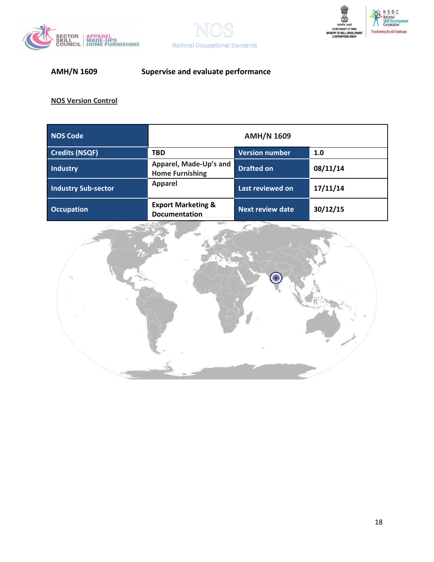





| <b>NOS Code</b>            | <b>AMH/N 1609</b>                                     |                         |          |
|----------------------------|-------------------------------------------------------|-------------------------|----------|
| <b>Credits (NSQF)</b>      | <b>TBD</b>                                            | <b>Version number</b>   | 1.0      |
| <b>Industry</b>            | Apparel, Made-Up's and<br><b>Home Furnishing</b>      | <b>Drafted on</b>       | 08/11/14 |
| <b>Industry Sub-sector</b> | <b>Apparel</b>                                        | Last reviewed on        | 17/11/14 |
| <b>Occupation</b>          | <b>Export Marketing &amp;</b><br><b>Documentation</b> | <b>Next review date</b> | 30/12/15 |

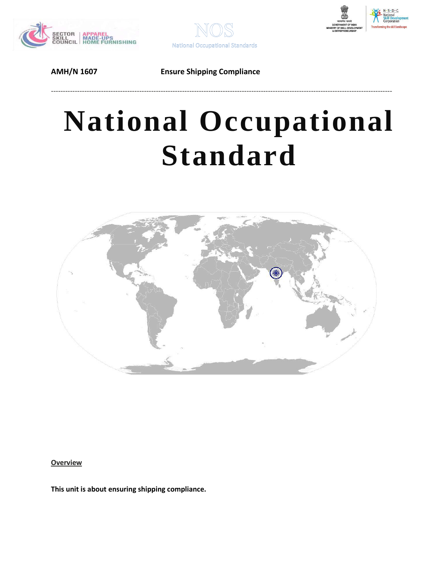



# **National Occupational Standard**

-----------------------------------------------------------------------------------------------------------------------------------------------



<span id="page-18-0"></span>**Overview** 

**This unit is about ensuring shipping compliance.**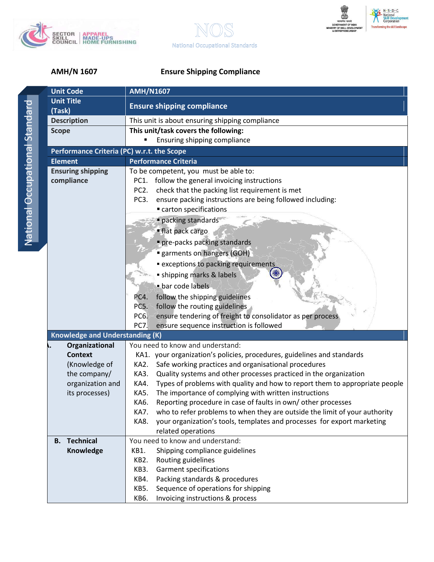





| <b>Unit Code</b>                           | <b>AMH/N1607</b>                                                                    |  |  |
|--------------------------------------------|-------------------------------------------------------------------------------------|--|--|
| <b>Unit Title</b>                          | <b>Ensure shipping compliance</b>                                                   |  |  |
| (Task)                                     |                                                                                     |  |  |
| <b>Description</b>                         | This unit is about ensuring shipping compliance                                     |  |  |
| <b>Scope</b>                               | This unit/task covers the following:                                                |  |  |
|                                            | Ensuring shipping compliance                                                        |  |  |
| Performance Criteria (PC) w.r.t. the Scope |                                                                                     |  |  |
| <b>Element</b>                             | <b>Performance Criteria</b>                                                         |  |  |
| <b>Ensuring shipping</b>                   | To be competent, you must be able to:                                               |  |  |
| compliance                                 | follow the general invoicing instructions<br>PC1.                                   |  |  |
|                                            | PC <sub>2</sub> .<br>check that the packing list requirement is met                 |  |  |
|                                            | PC <sub>3</sub> .<br>ensure packing instructions are being followed including:      |  |  |
|                                            | carton specifications                                                               |  |  |
|                                            | packing standards                                                                   |  |  |
|                                            | ■ flat pack cargo                                                                   |  |  |
|                                            | pre-packs packing standards                                                         |  |  |
|                                            |                                                                                     |  |  |
|                                            | <b>garments on hangers (GOH)</b>                                                    |  |  |
|                                            | <b>Exceptions to packing requirements</b>                                           |  |  |
|                                            | • shipping marks & labels                                                           |  |  |
|                                            | bar code labels                                                                     |  |  |
|                                            | follow the shipping guidelines<br>PC4.                                              |  |  |
|                                            | PC5.<br>follow the routing guidelines                                               |  |  |
|                                            | ensure tendering of freight to consolidator as per process<br>PC6.                  |  |  |
|                                            | PC7.<br>ensure sequence instruction is followed                                     |  |  |
| <b>Knowledge and Understanding (K)</b>     |                                                                                     |  |  |
| Organizational                             | You need to know and understand:                                                    |  |  |
| <b>Context</b>                             | KA1. your organization's policies, procedures, guidelines and standards             |  |  |
| (Knowledge of                              | Safe working practices and organisational procedures<br>KA2.                        |  |  |
| the company/                               | Quality systems and other processes practiced in the organization<br>KA3.           |  |  |
| organization and                           | Types of problems with quality and how to report them to appropriate people<br>KA4. |  |  |
| its processes)                             | <b>KA5.</b><br>The importance of complying with written instructions                |  |  |
|                                            | Reporting procedure in case of faults in own/other processes<br>KA6.                |  |  |
|                                            | KA7. who to refer problems to when they are outside the limit of your authority     |  |  |
|                                            | your organization's tools, templates and processes for export marketing<br>KA8.     |  |  |
|                                            | related operations                                                                  |  |  |
| <b>Technical</b><br><b>B.</b>              | You need to know and understand:                                                    |  |  |
| Knowledge                                  | Shipping compliance guidelines<br>KB1.                                              |  |  |
|                                            | Routing guidelines<br>KB2.                                                          |  |  |
|                                            | <b>KB3.</b><br><b>Garment specifications</b>                                        |  |  |
|                                            | Packing standards & procedures<br>KB4.                                              |  |  |
|                                            | Sequence of operations for shipping<br>KB5.                                         |  |  |
|                                            | Invoicing instructions & process<br>KB6.                                            |  |  |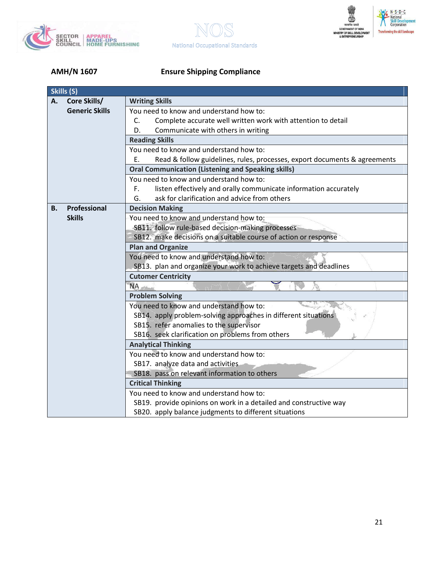





|    | Skills (S)            |                                                                                 |  |  |
|----|-----------------------|---------------------------------------------------------------------------------|--|--|
| Α. | Core Skills/          | <b>Writing Skills</b>                                                           |  |  |
|    | <b>Generic Skills</b> | You need to know and understand how to:                                         |  |  |
|    |                       | Complete accurate well written work with attention to detail<br>C.              |  |  |
|    |                       | D.<br>Communicate with others in writing                                        |  |  |
|    |                       | <b>Reading Skills</b>                                                           |  |  |
|    |                       | You need to know and understand how to:                                         |  |  |
|    |                       | Read & follow guidelines, rules, processes, export documents & agreements<br>E. |  |  |
|    |                       | <b>Oral Communication (Listening and Speaking skills)</b>                       |  |  |
|    |                       | You need to know and understand how to:                                         |  |  |
|    |                       | listen effectively and orally communicate information accurately<br>F.          |  |  |
|    |                       | G.<br>ask for clarification and advice from others                              |  |  |
| В. | Professional          | <b>Decision Making</b>                                                          |  |  |
|    | <b>Skills</b>         | You need to know and understand how to:                                         |  |  |
|    |                       | SB11. follow rule-based decision-making processes                               |  |  |
|    |                       | SB12. make decisions on a suitable course of action or response                 |  |  |
|    |                       | <b>Plan and Organize</b>                                                        |  |  |
|    |                       | You need to know and understand how to:                                         |  |  |
|    |                       | SB13. plan and organize your work to achieve targets and deadlines              |  |  |
|    |                       | <b>Cutomer Centricity</b>                                                       |  |  |
|    |                       | <b>NA</b>                                                                       |  |  |
|    |                       | <b>Problem Solving</b>                                                          |  |  |
|    |                       | You need to know and understand how to:                                         |  |  |
|    |                       | SB14. apply problem-solving approaches in different situations                  |  |  |
|    |                       | SB15. refer anomalies to the supervisor                                         |  |  |
|    |                       | SB16. seek clarification on problems from others                                |  |  |
|    |                       | <b>Analytical Thinking</b>                                                      |  |  |
|    |                       | You need to know and understand how to:                                         |  |  |
|    |                       | SB17. analyze data and activities                                               |  |  |
|    |                       | SB18. pass on relevant information to others                                    |  |  |
|    |                       | <b>Critical Thinking</b>                                                        |  |  |
|    |                       | You need to know and understand how to:                                         |  |  |
|    |                       | SB19. provide opinions on work in a detailed and constructive way               |  |  |
|    |                       | SB20. apply balance judgments to different situations                           |  |  |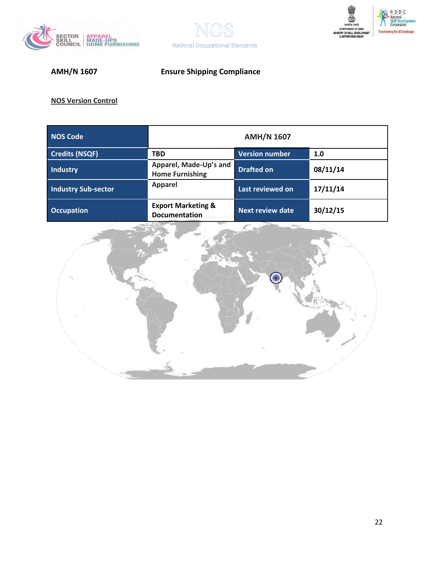





| <b>NOS Code</b>            | <b>AMH/N 1607</b>                                |                         |          |
|----------------------------|--------------------------------------------------|-------------------------|----------|
| <b>Credits (NSQF)</b>      | <b>TBD</b>                                       | <b>Version number</b>   | 1.0      |
| <b>Industry</b>            | Apparel, Made-Up's and<br><b>Home Furnishing</b> | <b>Drafted on</b>       | 08/11/14 |
| <b>Industry Sub-sector</b> | <b>Apparel</b>                                   | Last reviewed on        | 17/11/14 |
| <b>Occupation</b>          | <b>Export Marketing &amp;</b><br>Documentation   | <b>Next review date</b> | 30/12/15 |

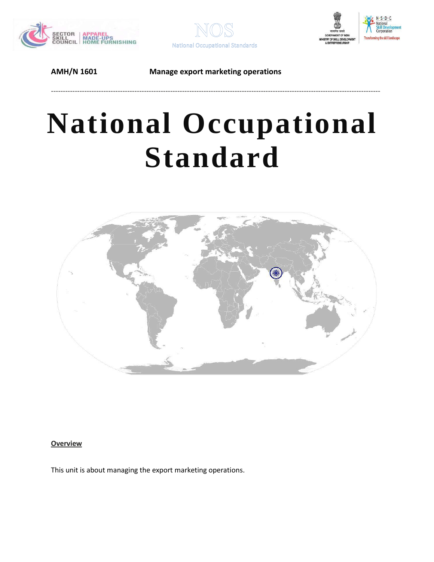





**AMH/N 1601 Manage export marketing operations**

------------------------------------------------------------------------------------------------------------------------------------------

# **National Occupational Standard**



### <span id="page-22-0"></span>**Overview**

This unit is about managing the export marketing operations.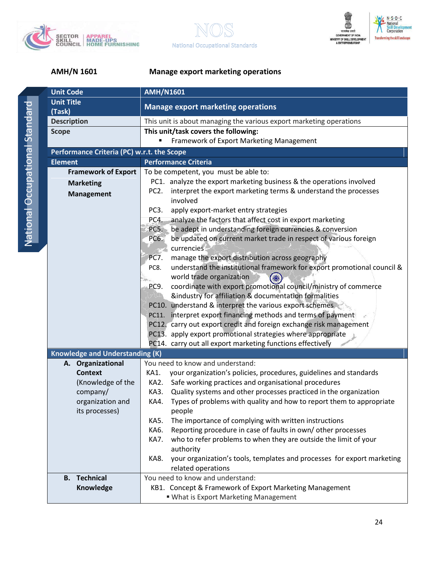





### **AMH/N 1601 Manage export marketing operations**

| <b>Unit Title</b><br><b>Manage export marketing operations</b><br>(Task)<br><b>Description</b><br>This unit is about managing the various export marketing operations<br>This unit/task covers the following:<br><b>Scope</b><br>Framework of Export Marketing Management |                                                                         |  |  |
|---------------------------------------------------------------------------------------------------------------------------------------------------------------------------------------------------------------------------------------------------------------------------|-------------------------------------------------------------------------|--|--|
|                                                                                                                                                                                                                                                                           |                                                                         |  |  |
|                                                                                                                                                                                                                                                                           |                                                                         |  |  |
|                                                                                                                                                                                                                                                                           |                                                                         |  |  |
|                                                                                                                                                                                                                                                                           |                                                                         |  |  |
|                                                                                                                                                                                                                                                                           |                                                                         |  |  |
| Performance Criteria (PC) w.r.t. the Scope                                                                                                                                                                                                                                |                                                                         |  |  |
| <b>Performance Criteria</b><br><b>Element</b>                                                                                                                                                                                                                             |                                                                         |  |  |
| <b>Framework of Export</b><br>To be competent, you must be able to:                                                                                                                                                                                                       |                                                                         |  |  |
| PC1. analyze the export marketing business & the operations involved<br><b>Marketing</b>                                                                                                                                                                                  |                                                                         |  |  |
| interpret the export marketing terms & understand the processes<br>PC <sub>2</sub> .<br><b>Management</b>                                                                                                                                                                 |                                                                         |  |  |
| involved                                                                                                                                                                                                                                                                  |                                                                         |  |  |
| PC <sub>3</sub> .<br>apply export-market entry strategies                                                                                                                                                                                                                 |                                                                         |  |  |
| analyze the factors that affect cost in export marketing<br>PC4.                                                                                                                                                                                                          |                                                                         |  |  |
| be adept in understanding foreign currencies & conversion<br>PC5.                                                                                                                                                                                                         |                                                                         |  |  |
| be updated on current market trade in respect of various foreign<br>PC6.<br>currencies<br>$-1.48$                                                                                                                                                                         |                                                                         |  |  |
| manage the export distribution across geography<br><b>PC7.</b>                                                                                                                                                                                                            |                                                                         |  |  |
| understand the institutional framework for export promotional council &<br>PC8.                                                                                                                                                                                           |                                                                         |  |  |
| world trade organization                                                                                                                                                                                                                                                  |                                                                         |  |  |
| coordinate with export promotional council/ministry of commerce<br>PC9.                                                                                                                                                                                                   |                                                                         |  |  |
| &industry for affiliation & documentation formalities                                                                                                                                                                                                                     |                                                                         |  |  |
| PC10. understand & interpret the various export schemes                                                                                                                                                                                                                   |                                                                         |  |  |
| PC11. interpret export financing methods and terms of payment                                                                                                                                                                                                             |                                                                         |  |  |
| PC12. carry out export credit and foreign exchange risk management                                                                                                                                                                                                        |                                                                         |  |  |
| PC13. apply export promotional strategies where appropriate                                                                                                                                                                                                               |                                                                         |  |  |
| PC14. carry out all export marketing functions effectively                                                                                                                                                                                                                |                                                                         |  |  |
| <b>Knowledge and Understanding (K)</b>                                                                                                                                                                                                                                    |                                                                         |  |  |
| You need to know and understand:<br>A. Organizational                                                                                                                                                                                                                     |                                                                         |  |  |
| your organization's policies, procedures, guidelines and standards<br><b>Context</b><br>KA1.                                                                                                                                                                              |                                                                         |  |  |
| (Knowledge of the<br>Safe working practices and organisational procedures<br>KA2.                                                                                                                                                                                         |                                                                         |  |  |
| Quality systems and other processes practiced in the organization<br>company/<br>KA3.                                                                                                                                                                                     |                                                                         |  |  |
| Types of problems with quality and how to report them to appropriate<br>organization and<br>KA4.                                                                                                                                                                          |                                                                         |  |  |
| its processes)<br>people                                                                                                                                                                                                                                                  |                                                                         |  |  |
| KA5.<br>The importance of complying with written instructions                                                                                                                                                                                                             |                                                                         |  |  |
| Reporting procedure in case of faults in own/other processes<br>KA6.                                                                                                                                                                                                      |                                                                         |  |  |
| KA7.                                                                                                                                                                                                                                                                      | who to refer problems to when they are outside the limit of your        |  |  |
| authority                                                                                                                                                                                                                                                                 |                                                                         |  |  |
| KA8.                                                                                                                                                                                                                                                                      | your organization's tools, templates and processes for export marketing |  |  |
| related operations                                                                                                                                                                                                                                                        |                                                                         |  |  |
| You need to know and understand:<br><b>B.</b> Technical                                                                                                                                                                                                                   |                                                                         |  |  |
| KB1. Concept & Framework of Export Marketing Management<br>Knowledge                                                                                                                                                                                                      |                                                                         |  |  |
| " What is Export Marketing Management                                                                                                                                                                                                                                     |                                                                         |  |  |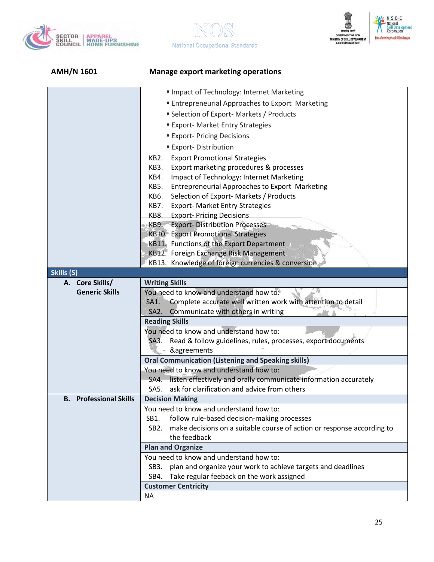





| <b>AMH/N 1601</b>             | <b>Manage export marketing operations</b>                                                           |  |
|-------------------------------|-----------------------------------------------------------------------------------------------------|--|
|                               | Impact of Technology: Internet Marketing                                                            |  |
|                               | <b>Entrepreneurial Approaches to Export Marketing</b>                                               |  |
|                               | <b>Selection of Export-Markets / Products</b>                                                       |  |
|                               | <b>Export-Market Entry Strategies</b>                                                               |  |
|                               | <b>Export-Pricing Decisions</b>                                                                     |  |
|                               |                                                                                                     |  |
|                               | <b>Export-Distribution</b>                                                                          |  |
|                               | KB2.<br><b>Export Promotional Strategies</b>                                                        |  |
|                               | Export marketing procedures & processes<br>KB3.<br>Impact of Technology: Internet Marketing<br>KB4. |  |
|                               | KB5.<br><b>Entrepreneurial Approaches to Export Marketing</b>                                       |  |
|                               | Selection of Export- Markets / Products<br>KB6.                                                     |  |
|                               | <b>Export- Market Entry Strategies</b><br>KB7.                                                      |  |
|                               | KB8.<br><b>Export-Pricing Decisions</b>                                                             |  |
|                               | KB9. Export-Distribution Processes                                                                  |  |
|                               | <b>KB10. Export Promotional Strategies</b>                                                          |  |
|                               | KB11. Functions of the Export Department                                                            |  |
|                               | KB12. Foreign Exchange Risk Management                                                              |  |
|                               | KB13. Knowledge of foreign currencies & conversion                                                  |  |
| Skills (S)                    |                                                                                                     |  |
| A. Core Skills/               | <b>Writing Skills</b>                                                                               |  |
| <b>Generic Skills</b>         | You need to know and understand how to:                                                             |  |
|                               | SA1. Complete accurate well written work with attention to detail                                   |  |
|                               | SA2. Communicate with others in writing                                                             |  |
|                               | <b>Reading Skills</b><br>You need to know and understand how to:                                    |  |
|                               | SA3. Read & follow guidelines, rules, processes, export documents                                   |  |
|                               | &agreements                                                                                         |  |
|                               | <b>Oral Communication (Listening and Speaking skills)</b>                                           |  |
|                               | You need to know and understand how to:                                                             |  |
|                               | SA4. listen effectively and orally communicate information accurately                               |  |
|                               | SA5.<br>ask for clarification and advice from others                                                |  |
| <b>B.</b> Professional Skills | <b>Decision Making</b>                                                                              |  |
|                               | You need to know and understand how to:                                                             |  |
|                               | follow rule-based decision-making processes<br>SB1.                                                 |  |
|                               | make decisions on a suitable course of action or response according to<br>SB2.                      |  |
|                               | the feedback                                                                                        |  |
|                               | <b>Plan and Organize</b>                                                                            |  |
|                               | You need to know and understand how to:                                                             |  |
|                               | plan and organize your work to achieve targets and deadlines<br>SB3.                                |  |
|                               | Take regular feeback on the work assigned<br>SB4.                                                   |  |
|                               | <b>Customer Centricity</b>                                                                          |  |
|                               | <b>NA</b>                                                                                           |  |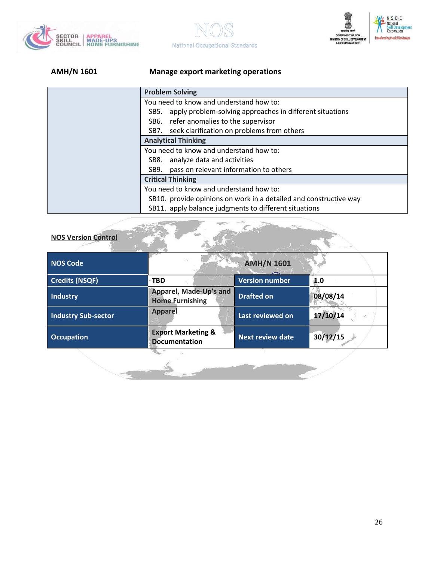





### **AMH/N 1601 Manage export marketing operations**

| <b>Problem Solving</b>                                            |  |  |
|-------------------------------------------------------------------|--|--|
| You need to know and understand how to:                           |  |  |
| apply problem-solving approaches in different situations<br>SB5.  |  |  |
| SB6. refer anomalies to the supervisor                            |  |  |
| SB7. seek clarification on problems from others                   |  |  |
| <b>Analytical Thinking</b>                                        |  |  |
| You need to know and understand how to:                           |  |  |
| analyze data and activities<br>SB8.                               |  |  |
| pass on relevant information to others<br>SB9.                    |  |  |
| <b>Critical Thinking</b>                                          |  |  |
| You need to know and understand how to:                           |  |  |
| SB10. provide opinions on work in a detailed and constructive way |  |  |
| SB11. apply balance judgments to different situations             |  |  |

| <b>NOS Code</b>            | 85                                                    | <b>AMH/N 1601</b>       |          |
|----------------------------|-------------------------------------------------------|-------------------------|----------|
| <b>Credits (NSQF)</b>      | -TBD                                                  | <b>Version number</b>   | 1.0      |
| <b>Industry</b>            | Apparel, Made-Up's and<br><b>Home Furnishing</b>      | <b>Drafted on</b>       | 08/08/14 |
| <b>Industry Sub-sector</b> | <b>Apparel</b>                                        | Last reviewed on        | 17/10/14 |
| <b>Occupation</b>          | <b>Export Marketing &amp;</b><br><b>Documentation</b> | <b>Next review date</b> | 30/12/15 |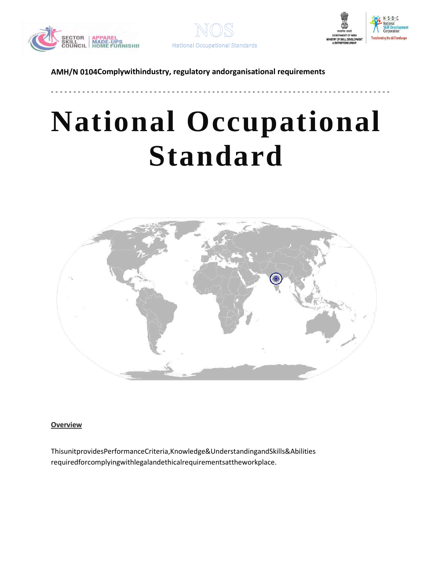





**AMH/N 0104Complywithindustry, regulatory andorganisational requirements**

# **National Occupational Standard**

**- - - - - - - - - - - - - - - - - - - - - - - - - - - - - - - - - - - - - - - - - - - - - - - - - - - - - - - - - - - - - - - - - - - - - - - - - - - -**



### <span id="page-26-0"></span>**Overview**

ThisunitprovidesPerformanceCriteria,Knowledge&UnderstandingandSkills&Abilities requiredforcomplyingwithlegalandethicalrequirementsattheworkplace.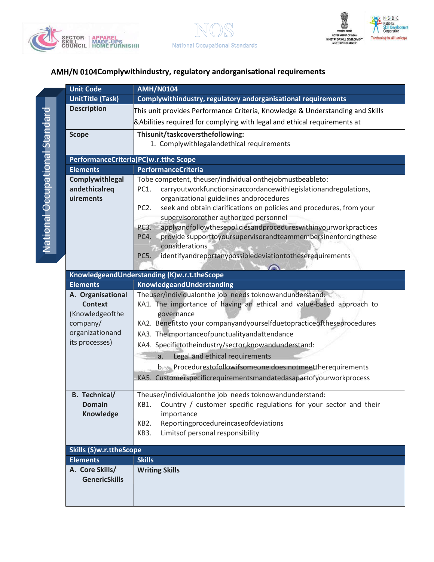





### **AMH/N 0104Complywithindustry, regulatory andorganisational requirements**

|                                                                             | <b>Unit Code</b>                                                                                                        | <b>AMH/N0104</b>                                                                                                   |  |  |
|-----------------------------------------------------------------------------|-------------------------------------------------------------------------------------------------------------------------|--------------------------------------------------------------------------------------------------------------------|--|--|
|                                                                             | <b>UnitTitle (Task)</b>                                                                                                 | Complywithindustry, regulatory andorganisational requirements                                                      |  |  |
|                                                                             | <b>Description</b>                                                                                                      | This unit provides Performance Criteria, Knowledge & Understanding and Skills                                      |  |  |
|                                                                             |                                                                                                                         | <b>&amp;Abilities required for complying with legal and ethical requirements at</b>                                |  |  |
|                                                                             | <b>Scope</b>                                                                                                            | Thisunit/taskcoversthefollowing:                                                                                   |  |  |
|                                                                             |                                                                                                                         | 1. Complywithlegalandethical requirements                                                                          |  |  |
|                                                                             |                                                                                                                         |                                                                                                                    |  |  |
|                                                                             |                                                                                                                         | PerformanceCriteria(PC)w.r.tthe Scope                                                                              |  |  |
|                                                                             | <b>Elements</b>                                                                                                         | <b>PerformanceCriteria</b>                                                                                         |  |  |
|                                                                             | Complywithlegal                                                                                                         | Tobe competent, theuser/individual onthejobmustbeableto:                                                           |  |  |
| andethicalreq<br>uirements                                                  |                                                                                                                         | carryoutworkfunctionsinaccordancewithlegislationandregulations,<br>PC1.<br>organizational guidelines andprocedures |  |  |
|                                                                             |                                                                                                                         | seek and obtain clarifications on policies and procedures, from your<br>PC <sub>2</sub> .                          |  |  |
|                                                                             |                                                                                                                         | supervisororother authorized personnel                                                                             |  |  |
|                                                                             |                                                                                                                         | applyandfollowthesepoliciesandprocedureswithinyourworkpractices<br>PC3.                                            |  |  |
|                                                                             |                                                                                                                         | provide supporttoyoursupervisorandteammembersinenforcingthese<br>PC4.                                              |  |  |
|                                                                             |                                                                                                                         | considerations                                                                                                     |  |  |
|                                                                             |                                                                                                                         | identifyandreportanypossibledeviationtotheserequirements<br>PC5.                                                   |  |  |
|                                                                             |                                                                                                                         |                                                                                                                    |  |  |
|                                                                             |                                                                                                                         | KnowledgeandUnderstanding (K)w.r.t.theScope                                                                        |  |  |
|                                                                             | <b>Elements</b>                                                                                                         | KnowledgeandUnderstanding                                                                                          |  |  |
| Theuser/individualonthe job needs toknowandunderstand:<br>A. Organisational |                                                                                                                         |                                                                                                                    |  |  |
|                                                                             | KA1. The importance of having an ethical and value-based approach to<br><b>Context</b><br>(Knowledgeofthe<br>governance |                                                                                                                    |  |  |
|                                                                             | company/                                                                                                                | KA2. Benefitsto your companyandyourselfduetopracticeoftheseprocedures                                              |  |  |
|                                                                             | organizationand                                                                                                         | KA3. Theimportanceofpunctualityandattendance                                                                       |  |  |
|                                                                             | its processes)                                                                                                          | KA4. Specifictotheindustry/sector, know and understand:                                                            |  |  |
|                                                                             |                                                                                                                         | Legal and ethical requirements<br>a.                                                                               |  |  |
|                                                                             |                                                                                                                         | b. Procedurestofollowifsomeone does notmeettherequirements                                                         |  |  |
|                                                                             |                                                                                                                         | KA5. Customerspecificrequirementsmandatedasapartofyourworkprocess                                                  |  |  |
|                                                                             |                                                                                                                         |                                                                                                                    |  |  |
|                                                                             | <b>B.</b> Technical/                                                                                                    | Theuser/individualonthe job needs toknowandunderstand:                                                             |  |  |
|                                                                             | <b>Domain</b>                                                                                                           | KB1. Country / customer specific regulations for your sector and their                                             |  |  |
|                                                                             | <b>Knowledge</b>                                                                                                        | importance                                                                                                         |  |  |
|                                                                             |                                                                                                                         | Reportingprocedureincaseofdeviations<br>KB <sub>2</sub>                                                            |  |  |
|                                                                             |                                                                                                                         | Limitsof personal responsibility<br>KB3.                                                                           |  |  |
|                                                                             | <b>Skills (S)w.r.ttheScope</b>                                                                                          |                                                                                                                    |  |  |
|                                                                             | <b>Elements</b>                                                                                                         | <b>Skills</b>                                                                                                      |  |  |
|                                                                             | A. Core Skills/                                                                                                         | <b>Writing Skills</b>                                                                                              |  |  |
|                                                                             | <b>GenericSkills</b>                                                                                                    |                                                                                                                    |  |  |
|                                                                             |                                                                                                                         |                                                                                                                    |  |  |
|                                                                             |                                                                                                                         |                                                                                                                    |  |  |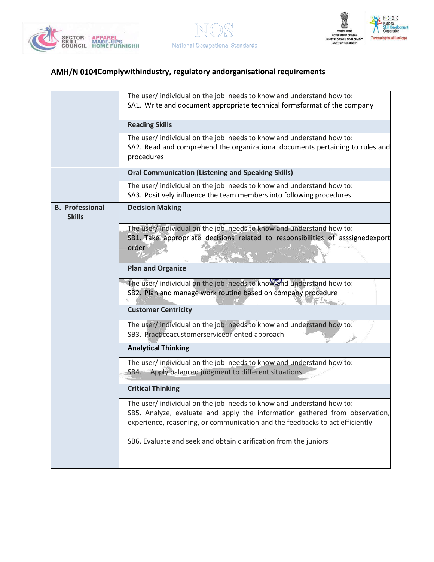





# **AMH/N 0104Complywithindustry, regulatory andorganisational requirements**

|                                         | The user/ individual on the job needs to know and understand how to:<br>SA1. Write and document appropriate technical formsformat of the company                                                                                   |  |  |  |  |
|-----------------------------------------|------------------------------------------------------------------------------------------------------------------------------------------------------------------------------------------------------------------------------------|--|--|--|--|
|                                         | <b>Reading Skills</b>                                                                                                                                                                                                              |  |  |  |  |
|                                         | The user/individual on the job needs to know and understand how to:<br>SA2. Read and comprehend the organizational documents pertaining to rules and<br>procedures                                                                 |  |  |  |  |
|                                         | <b>Oral Communication (Listening and Speaking Skills)</b>                                                                                                                                                                          |  |  |  |  |
|                                         | The user/ individual on the job needs to know and understand how to:<br>SA3. Positively influence the team members into following procedures                                                                                       |  |  |  |  |
| <b>B.</b> Professional<br><b>Skills</b> | <b>Decision Making</b>                                                                                                                                                                                                             |  |  |  |  |
|                                         | The user/ individual on the job needs to know and understand how to:<br>SB1. Take appropriate decisions related to responsibilities of asssignedexport<br>order<br><b>Plan and Organize</b>                                        |  |  |  |  |
|                                         | The user/ individual on the job needs to know and understand how to:<br>SB2. Plan and manage work routine based on company procedure<br><b>Customer Centricity</b>                                                                 |  |  |  |  |
|                                         | The user/ individual on the job needs to know and understand how to:<br>SB3. Practiceacustomerserviceoriented approach                                                                                                             |  |  |  |  |
|                                         | <b>Analytical Thinking</b>                                                                                                                                                                                                         |  |  |  |  |
|                                         | The user/ individual on the job needs to know and understand how to:<br>Apply balanced judgment to different situations<br>SB4.                                                                                                    |  |  |  |  |
|                                         | <b>Critical Thinking</b>                                                                                                                                                                                                           |  |  |  |  |
|                                         | The user/individual on the job needs to know and understand how to:<br>SB5. Analyze, evaluate and apply the information gathered from observation,<br>experience, reasoning, or communication and the feedbacks to act efficiently |  |  |  |  |
|                                         | SB6. Evaluate and seek and obtain clarification from the juniors                                                                                                                                                                   |  |  |  |  |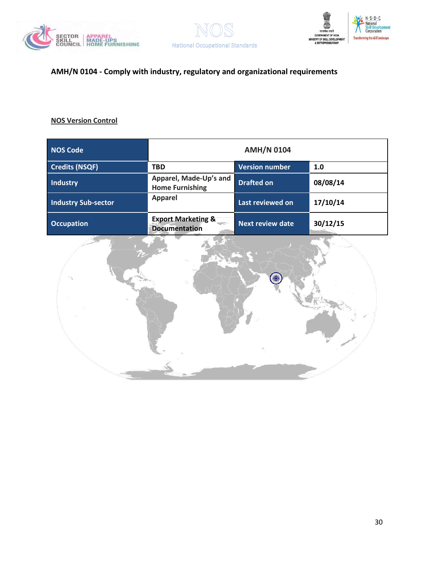





# **AMH/N 0104 - Comply with industry, regulatory and organizational requirements**

| <b>NOS Code</b>            | <b>AMH/N 0104</b>                                                      |                         |          |  |
|----------------------------|------------------------------------------------------------------------|-------------------------|----------|--|
| <b>Credits (NSQF)</b>      | <b>TBD</b>                                                             | <b>Version number</b>   | 1.0      |  |
| <b>Industry</b>            | Apparel, Made-Up's and<br><b>Home Furnishing</b>                       | <b>Drafted on</b>       | 08/08/14 |  |
| <b>Industry Sub-sector</b> | <b>Apparel</b>                                                         | Last reviewed on        | 17/10/14 |  |
| <b>Occupation</b>          | <b>Export Marketing &amp;</b><br><b>Report</b><br><b>Documentation</b> | <b>Next review date</b> | 30/12/15 |  |

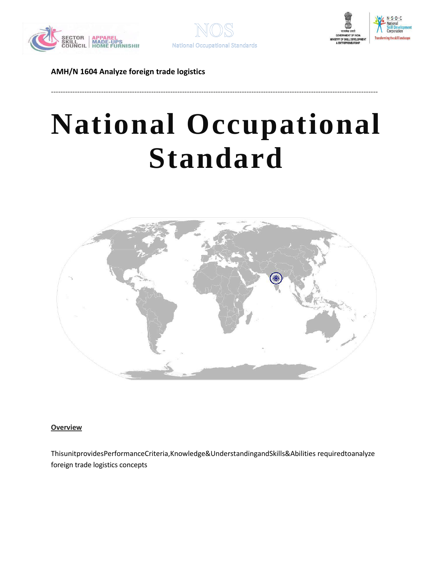





# **National Occupational Standard**

-----------------------------------------------------------------------------------------------------------------------------------------



### <span id="page-30-0"></span>**Overview**

ThisunitprovidesPerformanceCriteria,Knowledge&UnderstandingandSkills&Abilities requiredtoanalyze foreign trade logistics concepts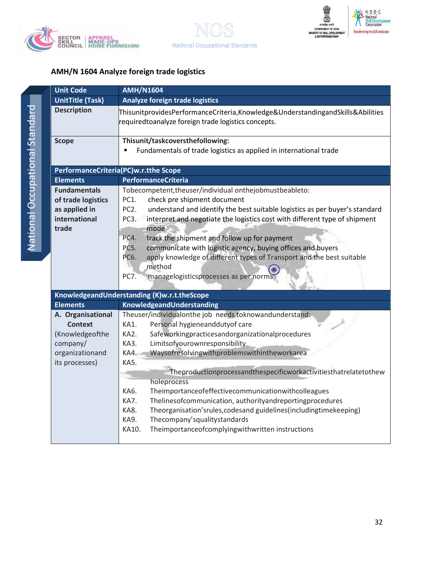





| <b>Unit Code</b>                                                                                        | <b>AMH/N1604</b>                                                                                                                                                                                                                                                                                                                                                                                                                                                                                                                                                                                                                                                                |  |  |  |
|---------------------------------------------------------------------------------------------------------|---------------------------------------------------------------------------------------------------------------------------------------------------------------------------------------------------------------------------------------------------------------------------------------------------------------------------------------------------------------------------------------------------------------------------------------------------------------------------------------------------------------------------------------------------------------------------------------------------------------------------------------------------------------------------------|--|--|--|
| <b>UnitTitle (Task)</b>                                                                                 | <b>Analyze foreign trade logistics</b>                                                                                                                                                                                                                                                                                                                                                                                                                                                                                                                                                                                                                                          |  |  |  |
| <b>Description</b>                                                                                      | ThisunitprovidesPerformanceCriteria,Knowledge&UnderstandingandSkills&Abilities<br>requiredtoanalyze foreign trade logistics concepts.                                                                                                                                                                                                                                                                                                                                                                                                                                                                                                                                           |  |  |  |
| <b>Scope</b>                                                                                            | Thisunit/taskcoversthefollowing:<br>Fundamentals of trade logistics as applied in international trade                                                                                                                                                                                                                                                                                                                                                                                                                                                                                                                                                                           |  |  |  |
|                                                                                                         | PerformanceCriteria(PC)w.r.tthe Scope                                                                                                                                                                                                                                                                                                                                                                                                                                                                                                                                                                                                                                           |  |  |  |
| <b>Elements</b>                                                                                         | <b>PerformanceCriteria</b>                                                                                                                                                                                                                                                                                                                                                                                                                                                                                                                                                                                                                                                      |  |  |  |
| <b>Fundamentals</b><br>of trade logistics<br>as applied in<br>international<br>trade                    | Tobecompetent, theuser/individual onthejobmustbeableto:<br>PC1.<br>check pre shipment document<br>PC <sub>2</sub> .<br>understand and identify the best suitable logistics as per buyer's standard<br>PC3.<br>interpret and negotiate the logistics cost with different type of shipment<br>mode<br>PC4.<br>track the shipment and follow up for payment<br><b>PC5.</b><br>communicate with logistic agency, buying offices and buyers<br>apply knowledge of different types of Transport and the best suitable<br>PC6.<br>method<br><b>PC7.</b><br>managelogisticsprocesses as per norms                                                                                       |  |  |  |
|                                                                                                         | KnowledgeandUnderstanding (K)w.r.t.theScope                                                                                                                                                                                                                                                                                                                                                                                                                                                                                                                                                                                                                                     |  |  |  |
| <b>Elements</b>                                                                                         | KnowledgeandUnderstanding                                                                                                                                                                                                                                                                                                                                                                                                                                                                                                                                                                                                                                                       |  |  |  |
| A. Organisational<br><b>Context</b><br>(Knowledgeofthe<br>company/<br>organizationand<br>its processes) | Theuser/individualonthe job needs toknowandunderstand:<br>Personal hygieneanddutyof care<br>KA1.<br>KA2.<br>Safeworkingpracticesandorganizationalprocedures<br>Limitsofyourownresponsibility<br>KA3.<br>Waysofresolvingwithproblemswithintheworkarea<br>KA4.<br>KA5.<br>Theproductionprocessandthespecificworkactivitiesthatrelatetothew<br>holeprocess<br>Theimportanceofeffectivecommunicationwithcolleagues<br>KA6.<br>KA7.<br>Thelinesofcommunication, authorityandreportingprocedures<br>Theorganisation'srules, codesand guidelines (including time keeping)<br>KA8.<br>Thecompany'squalitystandards<br>KA9.<br>KA10.<br>Theimportanceofcomplyingwithwritten instructions |  |  |  |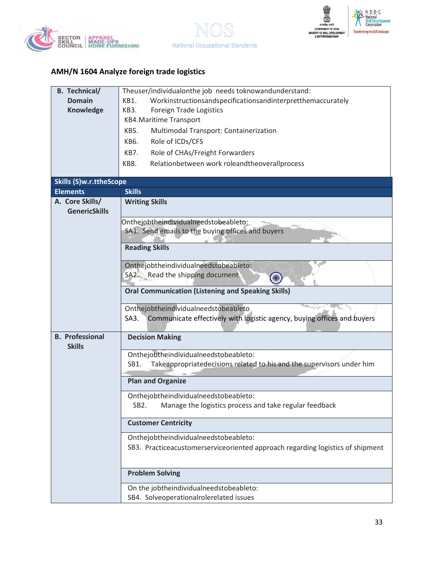





| <b>B.</b> Technical/           | Theuser/individualonthe job needs toknowandunderstand:                          |  |  |  |  |
|--------------------------------|---------------------------------------------------------------------------------|--|--|--|--|
| <b>Domain</b>                  | Workinstructionsandspecificationsandinterpretthemaccurately<br>KB1.             |  |  |  |  |
| Knowledge                      | Foreign Trade Logistics<br>KB3.                                                 |  |  |  |  |
|                                | <b>KB4.Maritime Transport</b>                                                   |  |  |  |  |
|                                | KB5.<br>Multimodal Transport: Containerization                                  |  |  |  |  |
|                                | Role of ICDs/CFS<br>KB6.                                                        |  |  |  |  |
|                                | KB7.<br>Role of CHAs/Freight Forwarders                                         |  |  |  |  |
|                                | Relationbetween work roleandtheoverallprocess<br>KB8.                           |  |  |  |  |
|                                |                                                                                 |  |  |  |  |
| <b>Skills (S)w.r.ttheScope</b> |                                                                                 |  |  |  |  |
| <b>Elements</b>                | <b>Skills</b>                                                                   |  |  |  |  |
| A. Core Skills/                | <b>Writing Skills</b>                                                           |  |  |  |  |
| <b>GenericSkills</b>           |                                                                                 |  |  |  |  |
|                                | Onthejobtheindividualneedstobeableto:                                           |  |  |  |  |
|                                | SA1. Send emails to the buying offices and buyers                               |  |  |  |  |
|                                | <b>Reading Skills</b>                                                           |  |  |  |  |
|                                |                                                                                 |  |  |  |  |
|                                | Onthejobtheindividualneedstobeableto:                                           |  |  |  |  |
|                                | SA2. Read the shipping document                                                 |  |  |  |  |
|                                | <b>Oral Communication (Listening and Speaking Skills)</b>                       |  |  |  |  |
|                                |                                                                                 |  |  |  |  |
|                                | Onthejobtheindividualneedstobeableto                                            |  |  |  |  |
|                                | Communicate effectively with logistic agency, buying offices and buyers<br>SA3. |  |  |  |  |
|                                |                                                                                 |  |  |  |  |
| <b>B.</b> Professional         | <b>Decision Making</b>                                                          |  |  |  |  |
| <b>Skills</b>                  |                                                                                 |  |  |  |  |
|                                | Onthejobtheindividualneedstobeableto:                                           |  |  |  |  |
|                                | Takeappropriatedecisions related to his and the supervisors under him<br>SB1.   |  |  |  |  |
|                                | <b>Plan and Organize</b>                                                        |  |  |  |  |
|                                | Onthejobtheindividualneedstobeableto:                                           |  |  |  |  |
|                                | SB <sub>2</sub> .<br>Manage the logistics process and take regular feedback     |  |  |  |  |
|                                | <b>Customer Centricity</b>                                                      |  |  |  |  |
|                                | Onthejobtheindividualneedstobeableto:                                           |  |  |  |  |
|                                | SB3. Practiceacustomerserviceoriented approach regarding logistics of shipment  |  |  |  |  |
|                                |                                                                                 |  |  |  |  |
|                                | <b>Problem Solving</b>                                                          |  |  |  |  |
|                                | On the jobtheindividualneedstobeableto:                                         |  |  |  |  |
|                                | SB4. Solveoperationalrolerelated issues                                         |  |  |  |  |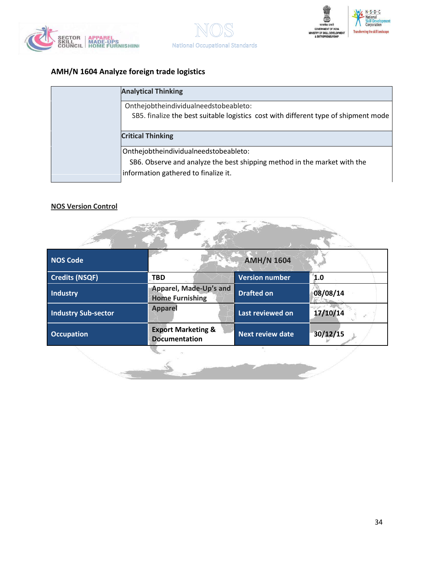





| <b>Analytical Thinking</b>                                                                                                   |
|------------------------------------------------------------------------------------------------------------------------------|
| Onthejobtheindividualneedstobeableto:<br>SB5. finalize the best suitable logistics cost with different type of shipment mode |
| <b>Critical Thinking</b>                                                                                                     |
| Onthejobtheindividualneedstobeableto:                                                                                        |
| SB6. Observe and analyze the best shipping method in the market with the                                                     |
| information gathered to finalize it.                                                                                         |

| <b>NOS Code</b>            |                                                       | <b>AMH/N 1604</b>       |          |  |  |  |
|----------------------------|-------------------------------------------------------|-------------------------|----------|--|--|--|
| <b>Credits (NSQF)</b>      | <b>TBD</b>                                            | <b>Version number</b>   | 1.0      |  |  |  |
| <b>Industry</b>            | Apparel, Made-Up's and<br><b>Home Furnishing</b>      | <b>Drafted on</b>       | 08/08/14 |  |  |  |
| <b>Industry Sub-sector</b> | <b>Apparel</b>                                        | Last reviewed on        | 17/10/14 |  |  |  |
| <b>Occupation</b>          | <b>Export Marketing &amp;</b><br><b>Documentation</b> | <b>Next review date</b> | 30/12/15 |  |  |  |
|                            |                                                       |                         |          |  |  |  |

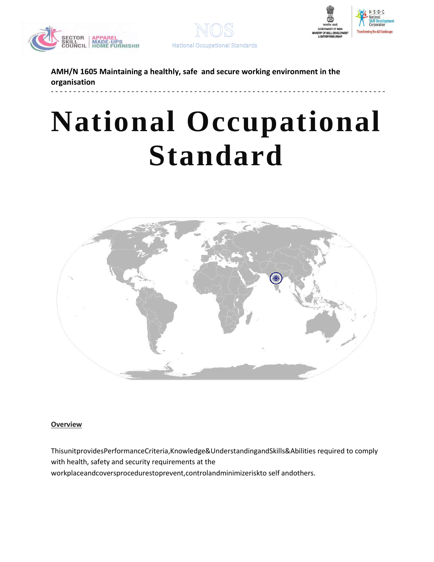





**National Occupational Standards** 

**AMH/N 1605 Maintaining a healthly, safe and secure working environment in the organisation**

# **National Occupational Standard**

**- - - - - - - - - - - - - - - - - - - - - - - - - - - - - - - - - - - - - - - - - - - - - - - - - - - - - - - - - - - - - - - - - - - - - - - - - - -**



### <span id="page-34-0"></span>**Overview**

ThisunitprovidesPerformanceCriteria,Knowledge&UnderstandingandSkills&Abilities required to comply with health, safety and security requirements at the workplaceandcoversprocedurestoprevent,controlandminimizeriskto self andothers.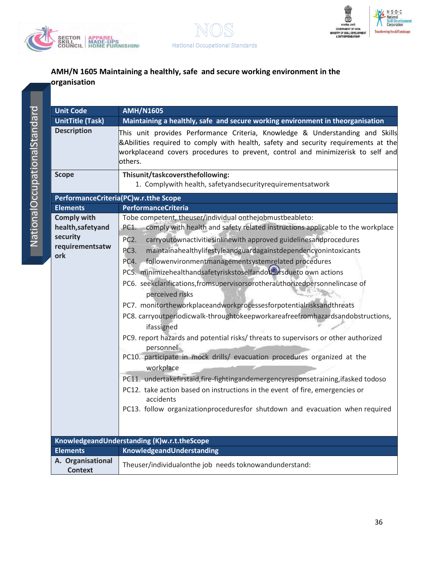





 $\overline{\mathtt{z}}$  . tionalOc cupationalSt and ard

| <b>Unit Code</b>                                                              | <b>AMH/N1605</b>                                                                                                                                                                                                                                                                                                                                                                                                                                                                                                                                                                                                                                                                                                                                                                                                                                                                                                                                                                                                                                                                                                                                                                                   |  |  |
|-------------------------------------------------------------------------------|----------------------------------------------------------------------------------------------------------------------------------------------------------------------------------------------------------------------------------------------------------------------------------------------------------------------------------------------------------------------------------------------------------------------------------------------------------------------------------------------------------------------------------------------------------------------------------------------------------------------------------------------------------------------------------------------------------------------------------------------------------------------------------------------------------------------------------------------------------------------------------------------------------------------------------------------------------------------------------------------------------------------------------------------------------------------------------------------------------------------------------------------------------------------------------------------------|--|--|
| <b>UnitTitle (Task)</b>                                                       | Maintaining a healthly, safe and secure working environment in theorganisation                                                                                                                                                                                                                                                                                                                                                                                                                                                                                                                                                                                                                                                                                                                                                                                                                                                                                                                                                                                                                                                                                                                     |  |  |
| <b>Description</b>                                                            | This unit provides Performance Criteria, Knowledge & Understanding and Skills<br>& Abilities required to comply with health, safety and security requirements at the<br>workplaceand covers procedures to prevent, control and minimizerisk to self and<br>others.                                                                                                                                                                                                                                                                                                                                                                                                                                                                                                                                                                                                                                                                                                                                                                                                                                                                                                                                 |  |  |
| <b>Scope</b>                                                                  | Thisunit/taskcoversthefollowing:<br>1. Complywith health, safetyandsecurityrequirementsatwork                                                                                                                                                                                                                                                                                                                                                                                                                                                                                                                                                                                                                                                                                                                                                                                                                                                                                                                                                                                                                                                                                                      |  |  |
|                                                                               | PerformanceCriteria(PC)w.r.tthe Scope                                                                                                                                                                                                                                                                                                                                                                                                                                                                                                                                                                                                                                                                                                                                                                                                                                                                                                                                                                                                                                                                                                                                                              |  |  |
| <b>Elements</b>                                                               | <b>PerformanceCriteria</b>                                                                                                                                                                                                                                                                                                                                                                                                                                                                                                                                                                                                                                                                                                                                                                                                                                                                                                                                                                                                                                                                                                                                                                         |  |  |
| <b>Comply with</b><br>health, safetyand<br>security<br>requirementsatw<br>ork | Tobe competent, theuser/individual onthejobmustbeableto:<br>comply with health and safety related instructions applicable to the workplace<br>PC1.<br>PC <sub>2</sub> .<br>carryoutownactivitiesinlinewith approved guidelinesandprocedures<br>maintainahealthylifestyleandguardagainstdependencyonintoxicants<br>PC3.<br>followenvironmentmanagementsystemrelated procedures<br>PC4.<br>PC5. minimizehealthandsafetyriskstoselfandothersdueto own actions<br>PC6. seekclarifications, fromsupervisorsorotherauthorizedpersonnelincase of<br>perceived risks<br>PC7. monitortheworkplaceandworkprocessesforpotentialrisksandthreats<br>PC8. carryoutperiodicwalk-throughtokeepworkareafreefromhazardsandobstructions,<br>ifassigned<br>PC9. report hazards and potential risks/threats to supervisors or other authorized<br>personnel<br>PC10. participate in mock drills/ evacuation procedures organized at the<br>workplace<br>PC11. undertakefirstaid, fire-fightingandemergencyresponsetraining, ifasked todoso<br>PC12. take action based on instructions in the event of fire, emergencies or<br>accidents<br>PC13. follow organizationproceduresfor shutdown and evacuation when required |  |  |
|                                                                               | KnowledgeandUnderstanding (K)w.r.t.theScope                                                                                                                                                                                                                                                                                                                                                                                                                                                                                                                                                                                                                                                                                                                                                                                                                                                                                                                                                                                                                                                                                                                                                        |  |  |
| <b>Elements</b><br>A. Organisational                                          | KnowledgeandUnderstanding                                                                                                                                                                                                                                                                                                                                                                                                                                                                                                                                                                                                                                                                                                                                                                                                                                                                                                                                                                                                                                                                                                                                                                          |  |  |
| <b>Context</b>                                                                | Theuser/individualonthe job needs toknowandunderstand:                                                                                                                                                                                                                                                                                                                                                                                                                                                                                                                                                                                                                                                                                                                                                                                                                                                                                                                                                                                                                                                                                                                                             |  |  |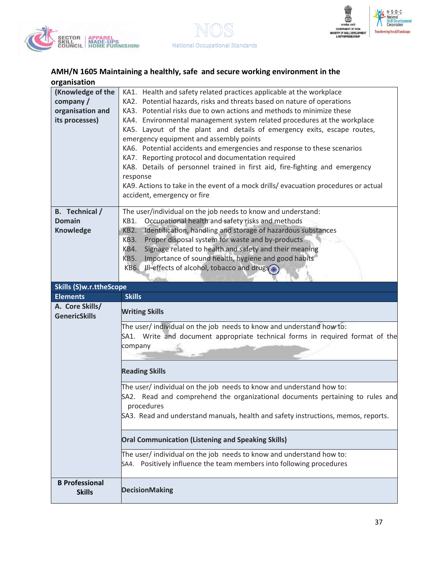





| (Knowledge of the     | KA1. Health and safety related practices applicable at the workplace                                                           |  |  |  |  |  |
|-----------------------|--------------------------------------------------------------------------------------------------------------------------------|--|--|--|--|--|
| company $/$           | KA2. Potential hazards, risks and threats based on nature of operations                                                        |  |  |  |  |  |
| organisation and      | KA3. Potential risks due to own actions and methods to minimize these                                                          |  |  |  |  |  |
| its processes)        | KA4. Environmental management system related procedures at the workplace                                                       |  |  |  |  |  |
|                       | KA5. Layout of the plant and details of emergency exits, escape routes,                                                        |  |  |  |  |  |
|                       | emergency equipment and assembly points                                                                                        |  |  |  |  |  |
|                       |                                                                                                                                |  |  |  |  |  |
|                       | KA6. Potential accidents and emergencies and response to these scenarios<br>KA7. Reporting protocol and documentation required |  |  |  |  |  |
|                       |                                                                                                                                |  |  |  |  |  |
|                       | KA8. Details of personnel trained in first aid, fire-fighting and emergency                                                    |  |  |  |  |  |
|                       | response                                                                                                                       |  |  |  |  |  |
|                       | KA9. Actions to take in the event of a mock drills/ evacuation procedures or actual                                            |  |  |  |  |  |
|                       | accident, emergency or fire                                                                                                    |  |  |  |  |  |
| <b>B.</b> Technical / | The user/individual on the job needs to know and understand:                                                                   |  |  |  |  |  |
| <b>Domain</b>         | Occupational health and safety risks and methods<br>KB1.                                                                       |  |  |  |  |  |
| <b>Knowledge</b>      | Identification, handling and storage of hazardous substances<br>KB2.                                                           |  |  |  |  |  |
|                       | Proper disposal system for waste and by-products<br>KB3.                                                                       |  |  |  |  |  |
|                       | KB4.                                                                                                                           |  |  |  |  |  |
|                       | Signage related to health and safety and their meaning                                                                         |  |  |  |  |  |
|                       | Importance of sound health, hygiene and good habits<br>KB5.                                                                    |  |  |  |  |  |
|                       | KB6. Ill-effects of alcohol, tobacco and drugs.                                                                                |  |  |  |  |  |
|                       |                                                                                                                                |  |  |  |  |  |
|                       | Skills (S)w.r.ttheScope                                                                                                        |  |  |  |  |  |
|                       |                                                                                                                                |  |  |  |  |  |
| <b>Elements</b>       | <b>Skills</b>                                                                                                                  |  |  |  |  |  |
| A. Core Skills/       |                                                                                                                                |  |  |  |  |  |
| <b>GenericSkills</b>  | <b>Writing Skills</b>                                                                                                          |  |  |  |  |  |
|                       | The user/ individual on the job needs to know and understand how to:                                                           |  |  |  |  |  |
|                       | SA1. Write and document appropriate technical forms in required format of the                                                  |  |  |  |  |  |
|                       | company                                                                                                                        |  |  |  |  |  |
|                       |                                                                                                                                |  |  |  |  |  |
|                       |                                                                                                                                |  |  |  |  |  |
|                       | <b>Reading Skills</b>                                                                                                          |  |  |  |  |  |
|                       |                                                                                                                                |  |  |  |  |  |
|                       | The user/ individual on the job needs to know and understand how to:                                                           |  |  |  |  |  |
|                       | SA2. Read and comprehend the organizational documents pertaining to rules and                                                  |  |  |  |  |  |
|                       | procedures                                                                                                                     |  |  |  |  |  |
|                       | SA3. Read and understand manuals, health and safety instructions, memos, reports.                                              |  |  |  |  |  |
|                       |                                                                                                                                |  |  |  |  |  |
|                       | <b>Oral Communication (Listening and Speaking Skills)</b>                                                                      |  |  |  |  |  |
|                       | The user/ individual on the job needs to know and understand how to:                                                           |  |  |  |  |  |
|                       | SA4. Positively influence the team members into following procedures                                                           |  |  |  |  |  |
|                       |                                                                                                                                |  |  |  |  |  |
| <b>B</b> Professional |                                                                                                                                |  |  |  |  |  |
| <b>Skills</b>         | <b>DecisionMaking</b>                                                                                                          |  |  |  |  |  |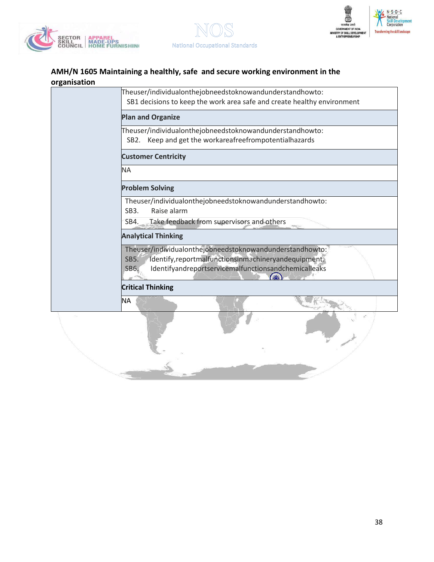





| Theuser/individualonthejobneedstoknowandunderstandhowto:<br>SB1 decisions to keep the work area safe and create healthy environment                                                                 |  |  |  |  |
|-----------------------------------------------------------------------------------------------------------------------------------------------------------------------------------------------------|--|--|--|--|
| <b>Plan and Organize</b>                                                                                                                                                                            |  |  |  |  |
| Theuser/individualonthejobneedstoknowandunderstandhowto:<br>Keep and get the workareafreefrompotentialhazards<br>SB2.                                                                               |  |  |  |  |
| <b>Customer Centricity</b>                                                                                                                                                                          |  |  |  |  |
| <b>NA</b>                                                                                                                                                                                           |  |  |  |  |
| <b>Problem Solving</b>                                                                                                                                                                              |  |  |  |  |
| Theuser/individualonthejobneedstoknowandunderstandhowto:<br>Raise alarm<br>SB <sub>3</sub> .                                                                                                        |  |  |  |  |
| Take feedback from supervisors and others<br>SB4.                                                                                                                                                   |  |  |  |  |
| <b>Analytical Thinking</b>                                                                                                                                                                          |  |  |  |  |
| Theuser/individualonthejobneedstoknowandunderstandhowto:<br>Identify, reportmalfunctions in machinery and equipment.<br><b>SB5.</b><br>Identifyandreportservicemalfunctionsandchemicalleaks<br>SB6. |  |  |  |  |
| <b>Critical Thinking</b>                                                                                                                                                                            |  |  |  |  |
| NA                                                                                                                                                                                                  |  |  |  |  |
|                                                                                                                                                                                                     |  |  |  |  |
|                                                                                                                                                                                                     |  |  |  |  |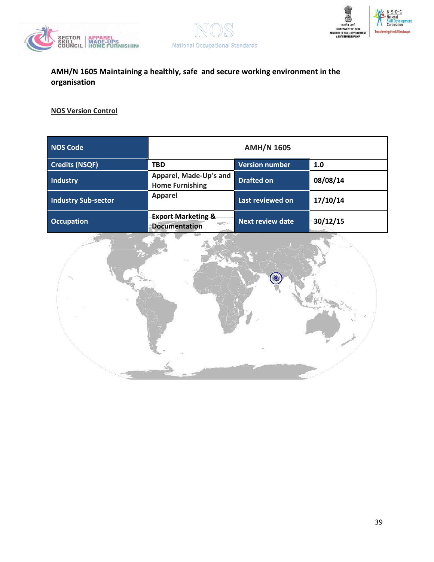





| <b>NOS Code</b>            | <b>AMH/N 1605</b>                                     |                         |                               |  |
|----------------------------|-------------------------------------------------------|-------------------------|-------------------------------|--|
| <b>Credits (NSQF)</b>      | <b>TBD</b>                                            | <b>Version number</b>   | 1.0                           |  |
| <b>Industry</b>            | Apparel, Made-Up's and<br><b>Home Furnishing</b>      | <b>Drafted on</b>       | 08/08/14                      |  |
| <b>Industry Sub-sector</b> | <b>Apparel</b>                                        | Last reviewed on        | 17/10/14                      |  |
| <b>Occupation</b>          | <b>Export Marketing &amp;</b><br><b>Documentation</b> | <b>Next review date</b> | 30/12/15<br><b>CONTRACTOR</b> |  |

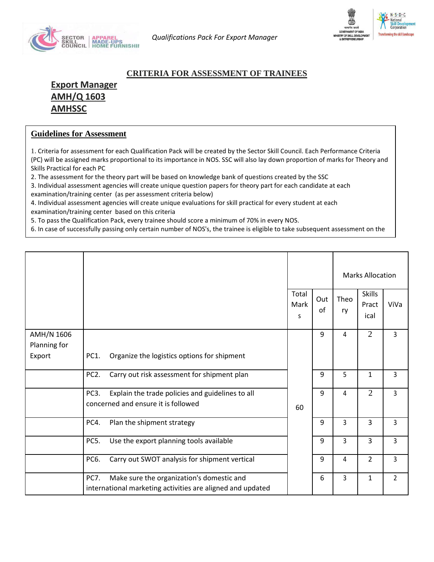



### **CRITERIA FOR ASSESSMENT OF TRAINEES**

**Export Manager AMH/Q 1603 AMHSSC** 

### **Guidelines for Assessment**

balance NoS's to pass the Qualification Package in the Qualification Package in the Qualification Package in the  $\sim$ 

1. Criteria for assessment for each Qualification Pack will be created by the Sector Skill Council. Each Performance Criteria (PC) will be assigned marks proportional to its importance in NOS. SSC will also lay down proportion of marks for Theory and Skills Practical for each PC

2. The assessment for the theory part will be based on knowledge bank of questions created by the SSC

3. Individual assessment agencies will create unique question papers for theory part for each candidate at each examination/training center (as per assessment criteria below)

4. Individual assessment agencies will create unique evaluations for skill practical for every student at each examination/training center based on this criteria

5. To pass the Qualification Pack, every trainee should score a minimum of 70% in every NOS.

6. In case of successfully passing only certain number of NOS's, the trainee is eligible to take subsequent assessment on the

|              |                                                                  |                    |           | <b>Marks Allocation</b> |                                |                |
|--------------|------------------------------------------------------------------|--------------------|-----------|-------------------------|--------------------------------|----------------|
|              |                                                                  | Total<br>Mark<br>S | Out<br>οf | Theo<br>ry              | <b>Skills</b><br>Pract<br>ical | ViVa           |
| AMH/N 1606   |                                                                  |                    | 9         | 4                       | $\overline{2}$                 | $\overline{3}$ |
| Planning for |                                                                  |                    |           |                         |                                |                |
| Export       | Organize the logistics options for shipment<br>PC1.              |                    |           |                         |                                |                |
|              | Carry out risk assessment for shipment plan<br>PC <sub>2</sub> . |                    | 9         | 5                       | $\mathbf{1}$                   | $\overline{3}$ |
|              | PC3.<br>Explain the trade policies and guidelines to all         |                    | 9         | $\overline{4}$          | $\overline{2}$                 | $\mathsf{3}$   |
|              | concerned and ensure it is followed                              | 60                 |           |                         |                                |                |
|              | Plan the shipment strategy<br>PC4.                               |                    | 9         | 3                       | 3                              | 3              |
|              | PC5.<br>Use the export planning tools available                  |                    | 9         | 3                       | 3                              | $\overline{3}$ |
|              | PC6.<br>Carry out SWOT analysis for shipment vertical            |                    | 9         | 4                       | $\overline{2}$                 | $\overline{3}$ |
|              | <b>PC7.</b><br>Make sure the organization's domestic and         |                    | 6         | 3                       | $\mathbf{1}$                   | $\overline{2}$ |
|              | international marketing activities are aligned and updated       |                    |           |                         |                                |                |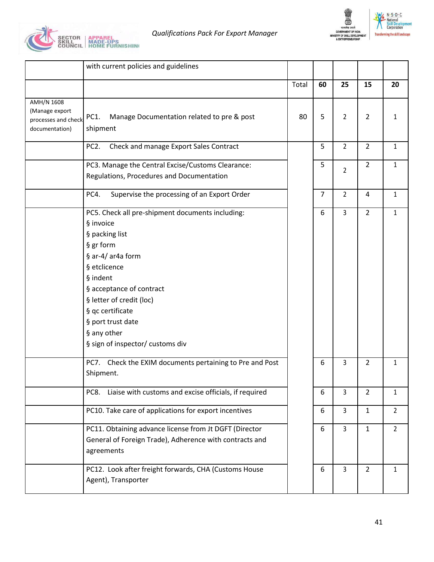



|                                                                       | with current policies and guidelines                                                                                                                                                                                                                                                             |       |    |                |                |                |
|-----------------------------------------------------------------------|--------------------------------------------------------------------------------------------------------------------------------------------------------------------------------------------------------------------------------------------------------------------------------------------------|-------|----|----------------|----------------|----------------|
|                                                                       |                                                                                                                                                                                                                                                                                                  | Total | 60 | 25             | 15             | 20             |
| AMH/N 1608<br>(Manage export<br>processes and check<br>documentation) | Manage Documentation related to pre & post<br>PC1.<br>shipment                                                                                                                                                                                                                                   | 80    | 5  | $\overline{2}$ | 2              | 1              |
|                                                                       | PC <sub>2</sub> .<br>Check and manage Export Sales Contract                                                                                                                                                                                                                                      |       | 5  | $\overline{2}$ | $\overline{2}$ | 1              |
|                                                                       | PC3. Manage the Central Excise/Customs Clearance:<br>Regulations, Procedures and Documentation                                                                                                                                                                                                   |       | 5  | $\overline{2}$ | $\overline{2}$ | $\mathbf{1}$   |
|                                                                       | PC4.<br>Supervise the processing of an Export Order                                                                                                                                                                                                                                              |       | 7  | $\overline{2}$ | 4              | $\mathbf 1$    |
|                                                                       | PC5. Check all pre-shipment documents including:<br>§ invoice<br>§ packing list<br>§ gr form<br>§ ar-4/ar4a form<br>§ etclicence<br>§ indent<br>§ acceptance of contract<br>§ letter of credit (loc)<br>§ qc certificate<br>§ port trust date<br>§ any other<br>§ sign of inspector/ customs div |       | 6  | $\overline{3}$ | $\overline{2}$ | $\mathbf 1$    |
|                                                                       | PC7. Check the EXIM documents pertaining to Pre and Post<br>Shipment.                                                                                                                                                                                                                            |       | 6  | 3              | 2              | 1              |
|                                                                       | Liaise with customs and excise officials, if required<br>PC8.                                                                                                                                                                                                                                    |       | 6  | $\overline{3}$ | $\overline{2}$ | 1              |
|                                                                       | PC10. Take care of applications for export incentives                                                                                                                                                                                                                                            |       | 6  | $\overline{3}$ | $\mathbf{1}$   | $\overline{2}$ |
|                                                                       | PC11. Obtaining advance license from Jt DGFT (Director<br>General of Foreign Trade), Adherence with contracts and<br>agreements                                                                                                                                                                  |       | 6  | $\overline{3}$ | $\mathbf{1}$   | $\overline{2}$ |
|                                                                       | PC12. Look after freight forwards, CHA (Customs House<br>Agent), Transporter                                                                                                                                                                                                                     |       | 6  | $\overline{3}$ | $\overline{2}$ | $\mathbf{1}$   |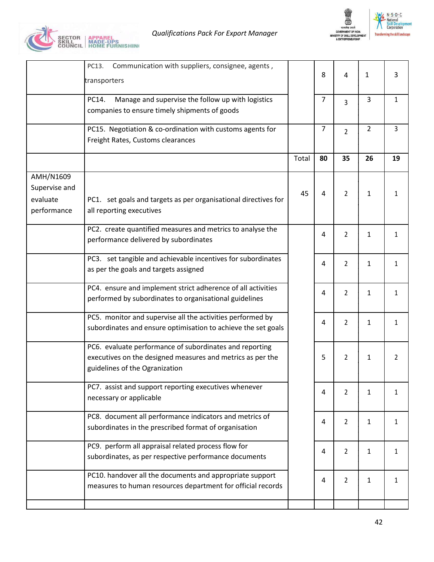



|                                          | Communication with suppliers, consignee, agents,<br>PC13.<br>transporters                                                                               |       | 8              | $\overline{4}$ | 1              | 3            |
|------------------------------------------|---------------------------------------------------------------------------------------------------------------------------------------------------------|-------|----------------|----------------|----------------|--------------|
|                                          | Manage and supervise the follow up with logistics<br>PC14.<br>companies to ensure timely shipments of goods                                             |       | $\overline{7}$ | 3              | 3              | 1            |
|                                          | PC15. Negotiation & co-ordination with customs agents for<br>Freight Rates, Customs clearances                                                          |       | $\overline{7}$ | $\overline{2}$ | $\overline{2}$ | 3            |
|                                          |                                                                                                                                                         | Total | 80             | 35             | 26             | 19           |
| AMH/N1609                                |                                                                                                                                                         |       |                |                |                |              |
| Supervise and<br>evaluate<br>performance | PC1. set goals and targets as per organisational directives for<br>all reporting executives                                                             | 45    | 4              | 2              | $\mathbf{1}$   | 1            |
|                                          | PC2. create quantified measures and metrics to analyse the<br>performance delivered by subordinates                                                     |       | 4              | $\overline{2}$ | $\mathbf{1}$   | 1            |
|                                          | PC3. set tangible and achievable incentives for subordinates<br>as per the goals and targets assigned                                                   |       | 4              | $\overline{2}$ | $\mathbf{1}$   | $\mathbf{1}$ |
|                                          | PC4. ensure and implement strict adherence of all activities<br>performed by subordinates to organisational guidelines                                  |       | 4              | $\overline{2}$ | $\mathbf{1}$   | 1            |
|                                          | PC5. monitor and supervise all the activities performed by<br>subordinates and ensure optimisation to achieve the set goals                             |       | 4              | $\overline{2}$ | $\mathbf{1}$   | $\mathbf{1}$ |
|                                          | PC6. evaluate performance of subordinates and reporting<br>executives on the designed measures and metrics as per the<br>guidelines of the Ogranization |       | 5              | $\overline{2}$ | $\mathbf{1}$   | 2            |
|                                          | PC7. assist and support reporting executives whenever<br>necessary or applicable                                                                        |       | 4              | $\overline{2}$ | $\mathbf{1}$   | $\mathbf{1}$ |
|                                          | PC8. document all performance indicators and metrics of<br>subordinates in the prescribed format of organisation                                        |       | 4              | $\overline{2}$ | $\mathbf{1}$   | $\mathbf{1}$ |
|                                          | PC9. perform all appraisal related process flow for<br>subordinates, as per respective performance documents                                            |       | 4              | $\overline{2}$ | $\mathbf{1}$   | $\mathbf{1}$ |
|                                          | PC10. handover all the documents and appropriate support<br>measures to human resources department for official records                                 |       | 4              | $\overline{2}$ | $\mathbf{1}$   | 1            |
|                                          |                                                                                                                                                         |       |                |                |                |              |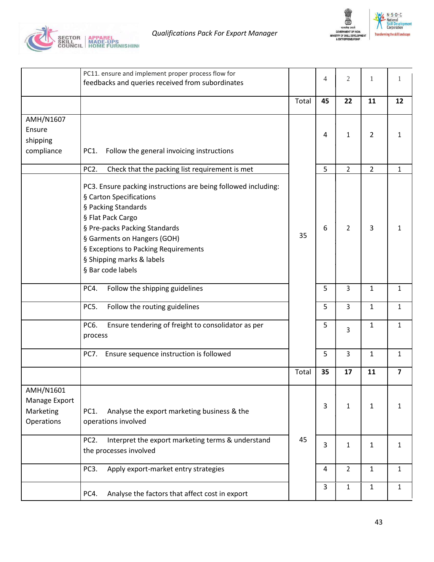



|                                                       | PC11. ensure and implement proper process flow for<br>feedbacks and queries received from subordinates                                                                                                                                                                                          |       | 4  | $\overline{2}$ | 1              |                |
|-------------------------------------------------------|-------------------------------------------------------------------------------------------------------------------------------------------------------------------------------------------------------------------------------------------------------------------------------------------------|-------|----|----------------|----------------|----------------|
|                                                       |                                                                                                                                                                                                                                                                                                 | Total | 45 | 22             | 11             | 12             |
| AMH/N1607<br>Ensure<br>shipping<br>compliance         | Follow the general invoicing instructions<br>PC1.                                                                                                                                                                                                                                               |       | 4  | 1              | $\overline{2}$ | 1              |
|                                                       | PC2.<br>Check that the packing list requirement is met                                                                                                                                                                                                                                          |       | 5  | $\overline{2}$ | $\overline{2}$ | $\mathbf{1}$   |
|                                                       | PC3. Ensure packing instructions are being followed including:<br>§ Carton Specifications<br>§ Packing Standards<br>§ Flat Pack Cargo<br>§ Pre-packs Packing Standards<br>§ Garments on Hangers (GOH)<br>§ Exceptions to Packing Requirements<br>§ Shipping marks & labels<br>§ Bar code labels | 35    | 6  | $\overline{2}$ | 3              | 1              |
|                                                       | PC4.<br>Follow the shipping guidelines                                                                                                                                                                                                                                                          |       | 5  | 3              | $\mathbf{1}$   | $\mathbf{1}$   |
|                                                       | PC5.<br>Follow the routing guidelines                                                                                                                                                                                                                                                           |       | 5  | $\overline{3}$ | $\mathbf{1}$   | $\mathbf{1}$   |
|                                                       | PC6.<br>Ensure tendering of freight to consolidator as per<br>process                                                                                                                                                                                                                           |       | 5  | 3              | $\mathbf{1}$   | $\mathbf{1}$   |
|                                                       | PC7. Ensure sequence instruction is followed                                                                                                                                                                                                                                                    |       | 5  | $\overline{3}$ | $\mathbf{1}$   | $\mathbf{1}$   |
|                                                       |                                                                                                                                                                                                                                                                                                 | Total | 35 | 17             | 11             | $\overline{7}$ |
| AMH/N1601<br>Manage Export<br>Marketing<br>Operations | PC1.<br>Analyse the export marketing business & the<br>operations involved                                                                                                                                                                                                                      |       | 3  | 1              | 1              | 1              |
|                                                       | Interpret the export marketing terms & understand<br>PC <sub>2</sub> .<br>the processes involved                                                                                                                                                                                                | 45    | 3  | 1              | $\mathbf{1}$   | $\mathbf{1}$   |
|                                                       | PC3.<br>Apply export-market entry strategies                                                                                                                                                                                                                                                    |       | 4  | $\overline{2}$ | $\mathbf{1}$   | $\mathbf{1}$   |
|                                                       | Analyse the factors that affect cost in export<br>PC4.                                                                                                                                                                                                                                          |       | 3  | $\mathbf{1}$   | 1              | 1              |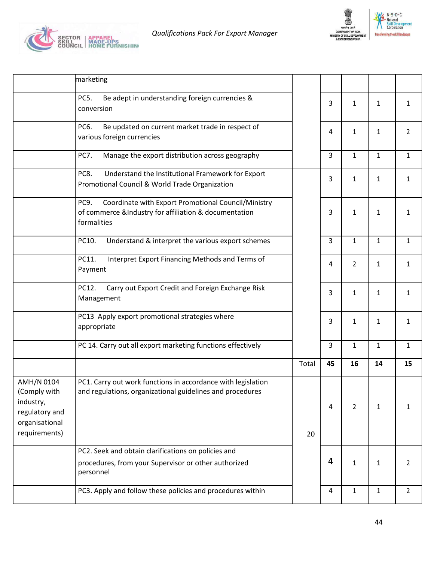



ent

| marketing                                                                                                                                                                                                                 |       |    |                |              |                |
|---------------------------------------------------------------------------------------------------------------------------------------------------------------------------------------------------------------------------|-------|----|----------------|--------------|----------------|
| Be adept in understanding foreign currencies &<br>PC5.<br>conversion                                                                                                                                                      |       | 3  | 1              | 1            | $\mathbf{1}$   |
| PC6.<br>Be updated on current market trade in respect of<br>various foreign currencies                                                                                                                                    |       | 4  | $\mathbf{1}$   | 1            | $\overline{2}$ |
| <b>PC7.</b><br>Manage the export distribution across geography                                                                                                                                                            |       | 3  | $\mathbf{1}$   | $\mathbf{1}$ | $\mathbf{1}$   |
| PC8.<br>Understand the Institutional Framework for Export<br>Promotional Council & World Trade Organization                                                                                                               |       | 3  | 1              | 1            | $\mathbf{1}$   |
| Coordinate with Export Promotional Council/Ministry<br>PC9.<br>of commerce &Industry for affiliation & documentation<br>formalities                                                                                       |       | 3  | 1              | $\mathbf{1}$ | 1              |
| PC10.<br>Understand & interpret the various export schemes                                                                                                                                                                |       | 3  | $\mathbf{1}$   | $\mathbf{1}$ | $\mathbf{1}$   |
| PC11.<br>Interpret Export Financing Methods and Terms of<br>Payment                                                                                                                                                       |       | 4  | 2              | 1            | $\mathbf{1}$   |
| Carry out Export Credit and Foreign Exchange Risk<br>PC12.<br>Management                                                                                                                                                  |       | 3  | $\mathbf{1}$   | $\mathbf{1}$ | $\mathbf{1}$   |
| PC13 Apply export promotional strategies where<br>appropriate                                                                                                                                                             |       | 3  | $\mathbf{1}$   | $\mathbf{1}$ | $\mathbf{1}$   |
| PC 14. Carry out all export marketing functions effectively                                                                                                                                                               |       | 3  | $\mathbf{1}$   | $\mathbf{1}$ | $\mathbf{1}$   |
|                                                                                                                                                                                                                           | Total | 45 | 16             | 14           | 15             |
| AMH/N 0104<br>PC1. Carry out work functions in accordance with legislation<br>(Comply with<br>and regulations, organizational guidelines and procedures<br>industry,<br>regulatory and<br>organisational<br>requirements) |       | 4  | $\overline{2}$ | $\mathbf{1}$ | 1              |
|                                                                                                                                                                                                                           | 20    |    |                |              |                |
| PC2. Seek and obtain clarifications on policies and<br>procedures, from your Supervisor or other authorized<br>personnel                                                                                                  |       | 4  | $\mathbf{1}$   | $\mathbf{1}$ | 2              |
| PC3. Apply and follow these policies and procedures within                                                                                                                                                                |       | 4  | $\mathbf{1}$   | $\mathbf{1}$ | $\overline{2}$ |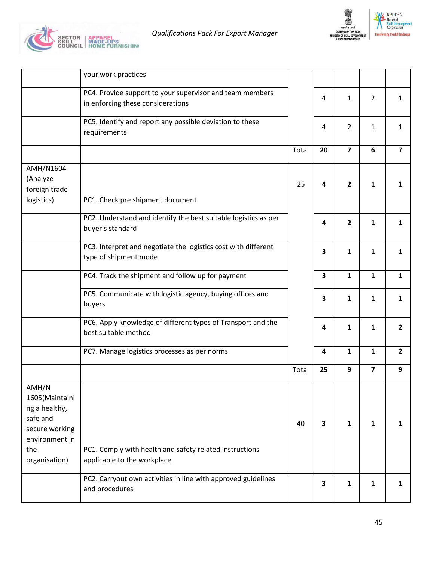



|                                                                                                                  | your work practices                                                                           |       |                         |                |                |                         |
|------------------------------------------------------------------------------------------------------------------|-----------------------------------------------------------------------------------------------|-------|-------------------------|----------------|----------------|-------------------------|
|                                                                                                                  | PC4. Provide support to your supervisor and team members<br>in enforcing these considerations |       | 4                       | $\mathbf{1}$   | $\overline{2}$ | 1                       |
|                                                                                                                  | PC5. Identify and report any possible deviation to these<br>requirements                      |       | 4                       | $\overline{2}$ | $\mathbf{1}$   | $\mathbf{1}$            |
|                                                                                                                  |                                                                                               | Total | 20                      | $\overline{7}$ | 6              | $\overline{\mathbf{z}}$ |
| AMH/N1604<br>(Analyze<br>foreign trade<br>logistics)                                                             | PC1. Check pre shipment document                                                              | 25    | 4                       | $\overline{2}$ | 1              | 1                       |
|                                                                                                                  | PC2. Understand and identify the best suitable logistics as per<br>buyer's standard           |       | 4                       | $\overline{2}$ | 1              | 1                       |
|                                                                                                                  | PC3. Interpret and negotiate the logistics cost with different<br>type of shipment mode       |       | 3                       | $\mathbf{1}$   | 1              | 1                       |
|                                                                                                                  | PC4. Track the shipment and follow up for payment                                             |       | $\overline{\mathbf{3}}$ | $\mathbf{1}$   | $\mathbf{1}$   | $\mathbf{1}$            |
|                                                                                                                  | PC5. Communicate with logistic agency, buying offices and<br>buyers                           |       | 3                       | 1              | 1              | 1                       |
|                                                                                                                  | PC6. Apply knowledge of different types of Transport and the<br>best suitable method          |       | 4                       | $\mathbf{1}$   | 1              | $\overline{2}$          |
|                                                                                                                  | PC7. Manage logistics processes as per norms                                                  |       | 4                       | $\mathbf{1}$   | $\mathbf{1}$   | $\overline{2}$          |
|                                                                                                                  |                                                                                               | Total | 25                      | 9              | $\overline{7}$ | 9                       |
| AMH/N<br>1605(Maintaini<br>ng a healthy,<br>safe and<br>secure working<br>environment in<br>the<br>organisation) | PC1. Comply with health and safety related instructions<br>applicable to the workplace        | 40    | 3                       | 1              | 1              | 1                       |
|                                                                                                                  | PC2. Carryout own activities in line with approved guidelines<br>and procedures               |       | $\overline{\mathbf{3}}$ | 1              | 1              | 1                       |